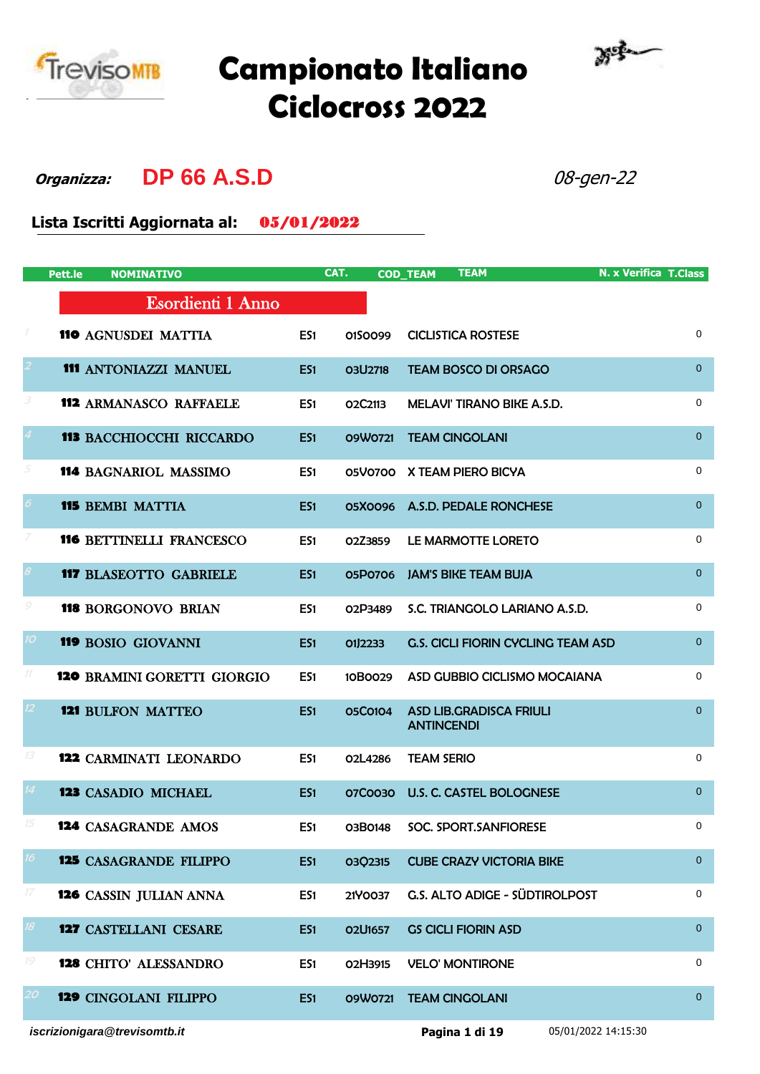

## **Campionato Italiano Ciclocross 2022**



**Organizza: DP 66 A.S.D** 08-gen-22

**Lista Iscritti Aggiornata al:** 05/01/2022

|                            | Pett.le<br><b>NOMINATIVO</b>       |                 | CAT.                             | <b>TEAM</b><br><b>COD_TEAM</b>                      | N. x Verifica T.Class |
|----------------------------|------------------------------------|-----------------|----------------------------------|-----------------------------------------------------|-----------------------|
|                            | Esordienti 1 Anno                  |                 |                                  |                                                     |                       |
| 1                          | <b>110 AGNUSDEI MATTIA</b>         | ES1             | 0150099                          | <b>CICLISTICA ROSTESE</b>                           | 0                     |
|                            | 111 ANTONIAZZI MANUEL              | ES1             | <b>03U2718</b>                   | <b>TEAM BOSCO DI ORSAGO</b>                         | $\mathbf{0}$          |
| З                          | <b>112 ARMANASCO RAFFAELE</b>      | ES1             | O2C2113                          | MELAVI' TIRANO BIKE A.S.D.                          | $\mathbf 0$           |
|                            | <b>113 BACCHIOCCHI RICCARDO</b>    | ES <sub>1</sub> | 09W0721                          | <b>TEAM CINGOLANI</b>                               | $\pmb{0}$             |
| 5                          | 114 BAGNARIOL MASSIMO              | ES1             | <b>05V0700</b>                   | X TEAM PIERO BICYA                                  | $\mathbf 0$           |
|                            | <b>115 BEMBI MATTIA</b>            | ES1             |                                  | 05X0096 A.S.D. PEDALE RONCHESE                      | $\overline{0}$        |
|                            | <b>116 BETTINELLI FRANCESCO</b>    | ES1             | O2Z3859                          | LE MARMOTTE LORETO                                  | $\mathbf 0$           |
|                            | <b>117 BLASEOTTO GABRIELE</b>      | ES1             | 05P0706                          | <b>JAM'S BIKE TEAM BUJA</b>                         | $\mathbf{0}$          |
| 9                          | <b>118 BORGONOVO BRIAN</b>         | ES1             | O <sub>2</sub> P <sub>3489</sub> | S.C. TRIANGOLO LARIANO A.S.D.                       | $\mathbf 0$           |
| 10                         | 119 BOSIO GIOVANNI                 | ES1             | 01J2233                          | <b>G.S. CICLI FIORIN CYCLING TEAM ASD</b>           | $\mathbf{0}$          |
| 11                         | <b>120 BRAMINI GORETTI GIORGIO</b> | ES1             | 10B0029                          | ASD GUBBIO CICLISMO MOCAIANA                        | $\mathbf 0$           |
|                            | <b>121 BULFON MATTEO</b>           | ES1             | 05C0104                          | <b>ASD LIB.GRADISCA FRIULI</b><br><b>ANTINCENDI</b> | $\mathbf{0}$          |
| 13                         | <b>122 CARMINATI LEONARDO</b>      | ES1             | 02L4286                          | <b>TEAM SERIO</b>                                   | $\mathbf 0$           |
| 14                         | <b>123 CASADIO MICHAEL</b>         | ES1             | 07C0030                          | <b>U.S. C. CASTEL BOLOGNESE</b>                     | $\mathbf{0}$          |
| 15                         | <b>124 CASAGRANDE AMOS</b>         | ES1             | 03B0148                          | SOC. SPORT. SANFIORESE                              | 0                     |
| 16                         | <b>125 CASAGRANDE FILIPPO</b>      | ES1             | 03Q2315                          | <b>CUBE CRAZY VICTORIA BIKE</b>                     | $\mathbf{0}$          |
| $\ensuremath{\mathit{17}}$ | 126 CASSIN JULIAN ANNA             | ES1             | 21Y0037                          | G.S. ALTO ADIGE - SÜDTIROLPOST                      | 0                     |
| 18                         | 127 CASTELLANI CESARE              | ES1             | O2U1657                          | <b>GS CICLI FIORIN ASD</b>                          | $\overline{0}$        |
| 19                         | <b>128 CHITO' ALESSANDRO</b>       | ES1             | O2H3915                          | <b>VELO' MONTIRONE</b>                              | 0                     |
| 20                         | <b>129 CINGOLANI FILIPPO</b>       | ES1             | 09W0721                          | <b>TEAM CINGOLANI</b>                               | $\overline{0}$        |
|                            | iscrizionigara@trevisomtb.it       |                 |                                  | Pagina 1 di 19                                      | 05/01/2022 14:15:30   |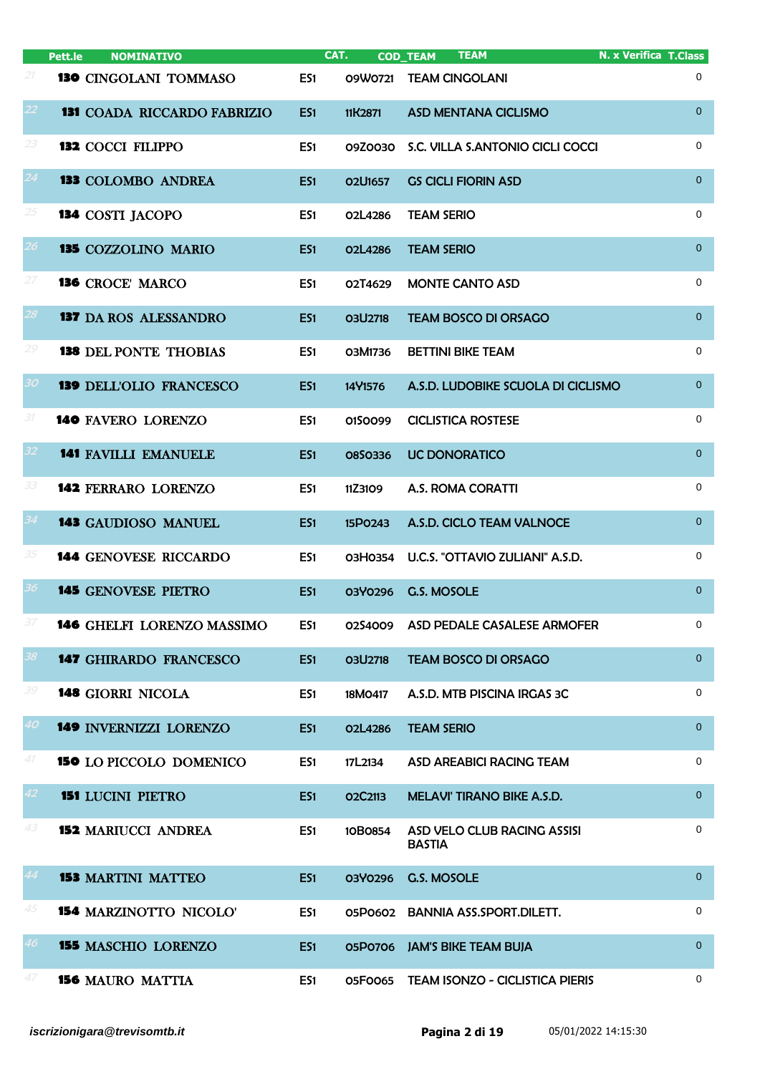|                 | <b>NOMINATIVO</b><br>Pett.le       |                 | CAT.           | <b>TEAM</b><br><b>COD_TEAM</b>               | <b>N. x Verifica T.Class</b> |
|-----------------|------------------------------------|-----------------|----------------|----------------------------------------------|------------------------------|
| 21              | 130 CINGOLANI TOMMASO              | ES <sub>1</sub> | 09W0721        | <b>TEAM CINGOLANI</b>                        | 0                            |
| 22.             | <b>131 COADA RICCARDO FABRIZIO</b> | ES1             | 11K2871        | <b>ASD MENTANA CICLISMO</b>                  | $\overline{0}$               |
| 23              | <b>132 COCCI FILIPPO</b>           | ES1             | 09Z0030        | S.C. VILLA S.ANTONIO CICLI COCCI             | $\mathbf 0$                  |
| 24              | <b>133 COLOMBO ANDREA</b>          | ES <sub>1</sub> | O2U1657        | <b>GS CICLI FIORIN ASD</b>                   | $\overline{0}$               |
| 25              | 134 COSTI JACOPO                   | ES1             | 02L4286        | <b>TEAM SERIO</b>                            | $\mathbf 0$                  |
| 26              | 135 COZZOLINO MARIO                | ES1             | 02L4286        | <b>TEAM SERIO</b>                            | $\overline{0}$               |
| 27              | <b>136 CROCE' MARCO</b>            | ES1             | O2T4629        | <b>MONTE CANTO ASD</b>                       | $\mathbf 0$                  |
| 28              | <b>137 DA ROS ALESSANDRO</b>       | ES1             | <b>03U2718</b> | <b>TEAM BOSCO DI ORSAGO</b>                  | $\overline{0}$               |
| 29              | <b>138 DEL PONTE THOBIAS</b>       | ES1             | O3M1736        | <b>BETTINI BIKE TEAM</b>                     | $\mathbf 0$                  |
| 30              | <b>139 DELL'OLIO FRANCESCO</b>     | ES1             | 14Y1576        | A.S.D. LUDOBIKE SCUOLA DI CICLISMO           | $\overline{0}$               |
| 31              | 140 FAVERO LORENZO                 | ES1             | 0150099        | <b>CICLISTICA ROSTESE</b>                    | $\mathbf 0$                  |
| 32 <sub>2</sub> | <b>141 FAVILLI EMANUELE</b>        | ES1             | 0850336        | <b>UC DONORATICO</b>                         | $\overline{0}$               |
| 33              | <b>142 FERRARO LORENZO</b>         | ES1             | 11Z3109        | <b>A.S. ROMA CORATTI</b>                     | $\mathbf 0$                  |
| 34              | 143 GAUDIOSO MANUEL                | ES1             | 15P0243        | A.S.D. CICLO TEAM VALNOCE                    | $\overline{0}$               |
| 35              | <b>144 GENOVESE RICCARDO</b>       | ES1             | 03H0354        | U.C.S. "OTTAVIO ZULIANI" A.S.D.              | 0                            |
| 36              | <b>145 GENOVESE PIETRO</b>         | ES1             | 03Y0296        | G.S. MOSOLE                                  | $\overline{0}$               |
|                 | 146 GHELFI LORENZO MASSIMO         | ES1             | 0254009        | ASD PEDALE CASALESE ARMOFER                  | 0                            |
| 38              | <b>147 GHIRARDO FRANCESCO</b>      | ES1             | <b>03U2718</b> | <b>TEAM BOSCO DI ORSAGO</b>                  | $\overline{0}$               |
| 39              | <b>148 GIORRI NICOLA</b>           | ES1             | 18M0417        | A.S.D. MTB PISCINA IRGAS 3C                  | 0                            |
| 40              | 149 INVERNIZZI LORENZO             | ES <sub>1</sub> | O2L4286        | <b>TEAM SERIO</b>                            | $\overline{0}$               |
| 41              | <b>150 LO PICCOLO DOMENICO</b>     | ES1             | 17L2134        | <b>ASD AREABICI RACING TEAM</b>              | 0                            |
| 42              | <b>151 LUCINI PIETRO</b>           | ES1             | O2C2113        | MELAVI' TIRANO BIKE A.S.D.                   | $\overline{0}$               |
| 43              | <b>152 MARIUCCI ANDREA</b>         | ES1             | 10B0854        | ASD VELO CLUB RACING ASSISI<br><b>BASTIA</b> | 0                            |
| 44              | <b>153 MARTINI MATTEO</b>          | ES <sub>1</sub> | 03Y0296        | G.S. MOSOLE                                  | $\overline{0}$               |
| 45              | <b>154 MARZINOTTO NICOLO'</b>      | ES1             | 05P0602        | <b>BANNIA ASS.SPORT.DILETT.</b>              | $\mathbf 0$                  |
| 46              | <b>155 MASCHIO LORENZO</b>         | ES1             |                | <b>05P0706 JAM'S BIKE TEAM BUJA</b>          | $\overline{0}$               |
| 47              | <b>156 MAURO MATTIA</b>            | ES1             | <b>05F0065</b> | <b>TEAM ISONZO - CICLISTICA PIERIS</b>       | 0                            |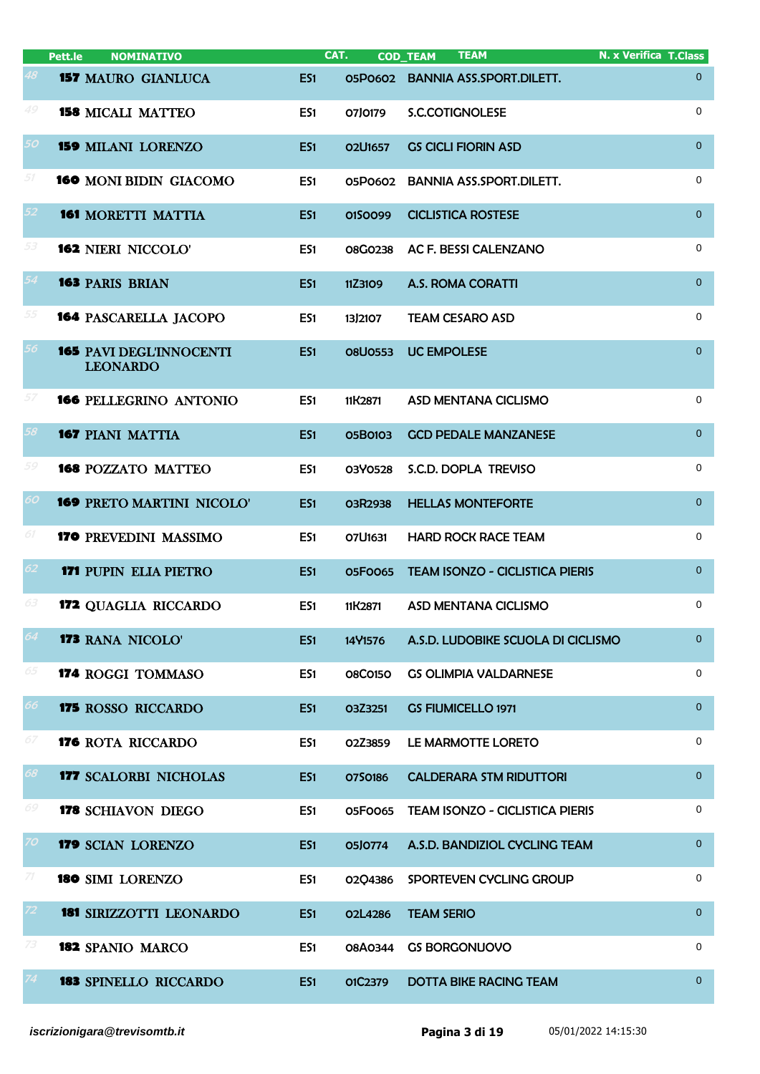|        | Pett.le<br><b>NOMINATIVO</b>                      |                 | CAT.           | <b>TEAM</b><br><b>COD_TEAM</b>         | <b>N. x Verifica T.Class</b> |
|--------|---------------------------------------------------|-----------------|----------------|----------------------------------------|------------------------------|
| 48     | <b>157 MAURO GIANLUCA</b>                         | ES1             |                | 05P0602 BANNIA ASS.SPORT.DILETT.       | $\overline{0}$               |
| 49     | <b>158 MICALI MATTEO</b>                          | ES1             | 07J0179        | S.C.COTIGNOLESE                        | 0                            |
| 50     | <b>159 MILANI LORENZO</b>                         | ES1             | O2U1657        | <b>GS CICLI FIORIN ASD</b>             | $\overline{0}$               |
| $51\,$ | 160 MONI BIDIN GIACOMO                            | ES1             | 05P0602        | <b>BANNIA ASS.SPORT.DILETT.</b>        | 0                            |
| 52     | <b>161 MORETTI MATTIA</b>                         | ES1             | 0150099        | <b>CICLISTICA ROSTESE</b>              | $\overline{0}$               |
| 53     | <b>162 NIERI NICCOLO'</b>                         | ES1             | 08G0238        | AC F. BESSI CALENZANO                  | $\mathbf 0$                  |
| 54     | <b>163 PARIS BRIAN</b>                            | ES1             | 11Z3109        | <b>A.S. ROMA CORATTI</b>               | $\overline{0}$               |
| 55     | <b>164 PASCARELLA JACOPO</b>                      | ES1             | 13)2107        | <b>TEAM CESARO ASD</b>                 | 0                            |
| 56     | <b>165 PAVI DEGL'INNOCENTI</b><br><b>LEONARDO</b> | ES1             | <b>O8U0553</b> | <b>UC EMPOLESE</b>                     | $\overline{0}$               |
| 57     | 166 PELLEGRINO ANTONIO                            | ES1             | 11K2871        | ASD MENTANA CICLISMO                   | $\mathbf 0$                  |
| 58     | <b>167 PIANI MATTIA</b>                           | ES1             | 05B0103        | <b>GCD PEDALE MANZANESE</b>            | $\mathbf{0}$                 |
| 59     | <b>168 POZZATO MATTEO</b>                         | ES1             | 03Y0528        | S.C.D. DOPLA TREVISO                   | $\mathbf 0$                  |
| 60     | <b>169 PRETO MARTINI NICOLO'</b>                  | ES1             | 03R2938        | <b>HELLAS MONTEFORTE</b>               | $\mathbf{0}$                 |
| 61     | 170 PREVEDINI MASSIMO                             | ES1             | O7U1631        | <b>HARD ROCK RACE TEAM</b>             | 0                            |
| 62     | <b>171 PUPIN ELIA PIETRO</b>                      | ES1             | 05F0065        | <b>TEAM ISONZO - CICLISTICA PIERIS</b> | $\mathbf{0}$                 |
| 63     | 172 QUAGLIA RICCARDO                              | ES1             | 11K2871        | ASD MENTANA CICLISMO                   | $\mathbf 0$                  |
| 64     | <b>173 RANA NICOLO'</b>                           | ES1             | 14Y1576        | A.S.D. LUDOBIKE SCUOLA DI CICLISMO     | $\mathbf{0}$                 |
| 65     | 174 ROGGI TOMMASO                                 | ES1             | <b>08C0150</b> | <b>GS OLIMPIA VALDARNESE</b>           | $\mathbf 0$                  |
| 66     | 175 ROSSO RICCARDO                                | ES1             | O3Z3251        | <b>GS FIUMICELLO 1971</b>              | $\overline{0}$               |
| 67     | <b>176 ROTA RICCARDO</b>                          | ES1             | O2Z3859        | LE MARMOTTE LORETO                     | 0                            |
| 68     | <b>177 SCALORBI NICHOLAS</b>                      | ES1             | 0750186        | <b>CALDERARA STM RIDUTTORI</b>         | $\overline{0}$               |
| 69     | <b>178 SCHIAVON DIEGO</b>                         | ES1             | 05F0065        | <b>TEAM ISONZO - CICLISTICA PIERIS</b> | 0                            |
| 70-    | 179 SCIAN LORENZO                                 | ES1             | 05J0774        | A.S.D. BANDIZIOL CYCLING TEAM          | $\overline{0}$               |
| 71     | 180 SIMI LORENZO                                  | ES1             | 02Q4386        | SPORTEVEN CYCLING GROUP                | 0                            |
| 72     | <b>181 SIRIZZOTTI LEONARDO</b>                    | ES <sub>1</sub> | O2L4286        | <b>TEAM SERIO</b>                      | $\overline{0}$               |
| 73     | 182 SPANIO MARCO                                  | ES1             | <b>08A0344</b> | <b>GS BORGONUOVO</b>                   | 0                            |
| 74     | <b>183 SPINELLO RICCARDO</b>                      | ES <sub>1</sub> | O1C2379        | <b>DOTTA BIKE RACING TEAM</b>          | $\overline{0}$               |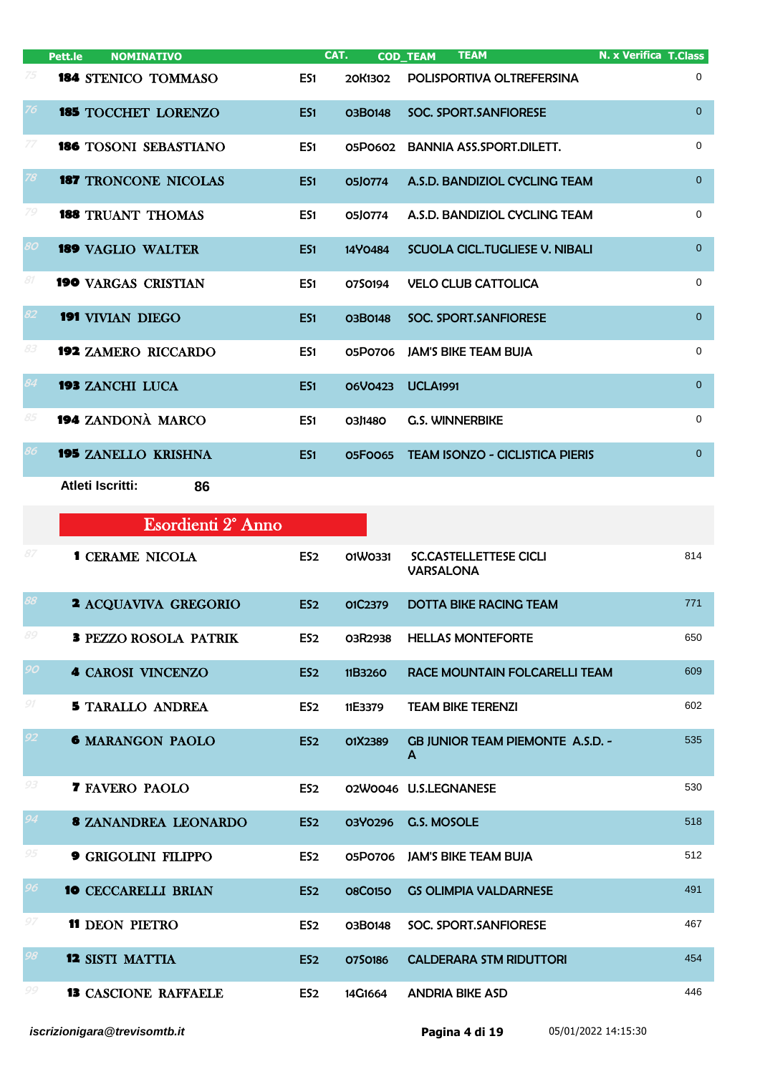|    | Pett.le<br><b>NOMINATIVO</b> |                 | CAT.    | <b>TEAM</b><br><b>COD_TEAM</b>         | <b>N. x Verifica T.Class</b> |
|----|------------------------------|-----------------|---------|----------------------------------------|------------------------------|
|    | 184 STENICO TOMMASO          | ES1             | 20K1302 | POLISPORTIVA OLTREFERSINA              | $\mathbf 0$                  |
| 76 | <b>185 TOCCHET LORENZO</b>   | ES <sub>1</sub> | O3B0148 | SOC. SPORT. SANFIORESE                 | $\Omega$                     |
| 77 | <b>186 TOSONI SEBASTIANO</b> | ES1             | 05P0602 | <b>BANNIA ASS.SPORT.DILETT.</b>        | 0                            |
| 78 | <b>187 TRONCONE NICOLAS</b>  | ES <sub>1</sub> | 0510774 | A.S.D. BANDIZIOL CYCLING TEAM          | $\overline{0}$               |
| 79 | <b>188 TRUANT THOMAS</b>     | ES <sub>1</sub> | 05J0774 | A.S.D. BANDIZIOL CYCLING TEAM          | $\Omega$                     |
| 80 | <b>189 VAGLIO WALTER</b>     | ES <sub>1</sub> | 14Y0484 | SCUOLA CICL. TUGLIESE V. NIBALI        | $\overline{0}$               |
| 81 | <b>190 VARGAS CRISTIAN</b>   | ES1             | 0750194 | <b>VELO CLUB CATTOLICA</b>             | $\mathbf 0$                  |
| 82 | <b>191</b> VIVIAN DIEGO      | ES <sub>1</sub> | O3B0148 | <b>SOC. SPORT.SANFIORESE</b>           | $\overline{0}$               |
| 83 | <b>192 ZAMERO RICCARDO</b>   | ES <sub>1</sub> | 05P0706 | <b>JAM'S BIKE TEAM BUJA</b>            | 0                            |
| 84 | <b>193 ZANCHI LUCA</b>       | ES <sub>1</sub> | O6VO423 | <b>UCLA1991</b>                        | $\Omega$                     |
| 85 | 194 ZANDONÀ MARCO            | ES <sub>1</sub> | 03J1480 | <b>G.S. WINNERBIKE</b>                 | 0                            |
| 86 | <b>195 ZANELLO KRISHNA</b>   | ES <sub>1</sub> | 05F0065 | <b>TEAM ISONZO - CICLISTICA PIERIS</b> | $\overline{0}$               |
|    | <b>Atleti Iscritti:</b>      | 86              |         |                                        |                              |

|                 | Esordienti 2 <sup>°</sup> Anno |                 |                |                                                   |     |
|-----------------|--------------------------------|-----------------|----------------|---------------------------------------------------|-----|
| 87              | <b>1 CERAME NICOLA</b>         | ES <sub>2</sub> | 01W0331        | <b>SC.CASTELLETTESE CICLI</b><br><b>VARSALONA</b> | 814 |
| 88              | <b>2 ACQUAVIVA GREGORIO</b>    | ES <sub>2</sub> | O1C2379        | <b>DOTTA BIKE RACING TEAM</b>                     | 771 |
| 89              | <b>3 PEZZO ROSOLA PATRIK</b>   | ES <sub>2</sub> | 03R2938        | <b>HELLAS MONTEFORTE</b>                          | 650 |
| 90 <sub>1</sub> | <b>4 CAROSI VINCENZO</b>       | ES <sub>2</sub> | 11B3260        | RACE MOUNTAIN FOLCARELLI TEAM                     | 609 |
| 91              | <b>5 TARALLO ANDREA</b>        | ES <sub>2</sub> | 11E3379        | <b>TEAM BIKE TERENZI</b>                          | 602 |
| 92              | <b>6 MARANGON PAOLO</b>        | ES <sub>2</sub> | O1X2389        | <b>GB JUNIOR TEAM PIEMONTE A.S.D. -</b><br>A      | 535 |
| 93              | <b>7 FAVERO PAOLO</b>          | ES <sub>2</sub> |                | 02W0046 U.S.LEGNANESE                             | 530 |
| 94              | <b>8 ZANANDREA LEONARDO</b>    | ES <sub>2</sub> | <b>03Y0296</b> | <b>G.S. MOSOLE</b>                                | 518 |
| 95              | <b>9 GRIGOLINI FILIPPO</b>     | ES <sub>2</sub> | 05P0706        | <b>JAM'S BIKE TEAM BUJA</b>                       | 512 |
| 96              | <b>10 CECCARELLI BRIAN</b>     | ES <sub>2</sub> | <b>08C0150</b> | <b>GS OLIMPIA VALDARNESE</b>                      | 491 |
| 97              | <b>11 DEON PIETRO</b>          | ES <sub>2</sub> | 03B0148        | SOC. SPORT.SANFIORESE                             | 467 |
| 98              | <b>12 SISTI MATTIA</b>         | ES <sub>2</sub> | 0750186        | <b>CALDERARA STM RIDUTTORI</b>                    | 454 |
| 99              | <b>13 CASCIONE RAFFAELE</b>    | ES <sub>2</sub> | 14G1664        | <b>ANDRIA BIKE ASD</b>                            | 446 |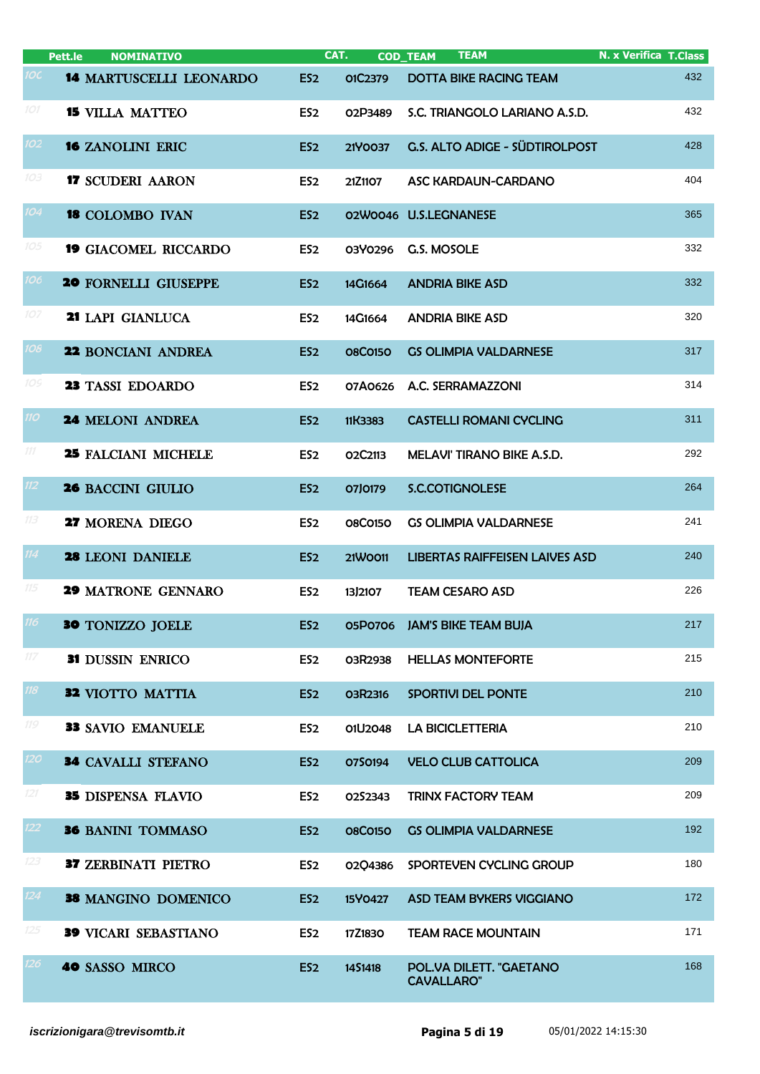|     | Pett.le<br><b>NOMINATIVO</b>   | CAT.            |                | <b>TEAM</b><br><b>COD_TEAM</b>               | <b>N. x Verifica T.Class</b> |
|-----|--------------------------------|-----------------|----------------|----------------------------------------------|------------------------------|
| 1OC | <b>14 MARTUSCELLI LEONARDO</b> | ES <sub>2</sub> | O1C2379        | <b>DOTTA BIKE RACING TEAM</b>                | 432                          |
| 101 | <b>15 VILLA MATTEO</b>         | ES <sub>2</sub> | 02P3489        | S.C. TRIANGOLO LARIANO A.S.D.                | 432                          |
| 102 | <b>16 ZANOLINI ERIC</b>        | ES <sub>2</sub> | 21Y0037        | G.S. ALTO ADIGE - SÜDTIROLPOST               | 428                          |
| 103 | <b>17 SCUDERI AARON</b>        | ES <sub>2</sub> | 21Z1107        | ASC KARDAUN-CARDANO                          | 404                          |
| 104 | <b>18 COLOMBO IVAN</b>         | ES <sub>2</sub> |                | 02W0046 U.S.LEGNANESE                        | 365                          |
| 105 | <b>19 GIACOMEL RICCARDO</b>    | ES <sub>2</sub> | 03Y0296        | G.S. MOSOLE                                  | 332                          |
| 106 | <b>20 FORNELLI GIUSEPPE</b>    | ES <sub>2</sub> | 14G1664        | <b>ANDRIA BIKE ASD</b>                       | 332                          |
| 107 | 21 LAPI GIANLUCA               | ES <sub>2</sub> | 14G1664        | <b>ANDRIA BIKE ASD</b>                       | 320                          |
| 108 | <b>22 BONCIANI ANDREA</b>      | ES <sub>2</sub> | <b>08C0150</b> | <b>GS OLIMPIA VALDARNESE</b>                 | 317                          |
| 10S | 23 TASSI EDOARDO               | ES <sub>2</sub> | 07A0626        | A.C. SERRAMAZZONI                            | 314                          |
| 110 | <b>24 MELONI ANDREA</b>        | ES <sub>2</sub> | 11K3383        | <b>CASTELLI ROMANI CYCLING</b>               | 311                          |
| 111 | <b>25 FALCIANI MICHELE</b>     | ES <sub>2</sub> | O2C2113        | <b>MELAVI' TIRANO BIKE A.S.D.</b>            | 292                          |
| 112 | <b>26 BACCINI GIULIO</b>       | ES <sub>2</sub> | 07J0179        | <b>S.C.COTIGNOLESE</b>                       | 264                          |
| 113 | 27 MORENA DIEGO                | ES <sub>2</sub> | <b>08C0150</b> | <b>GS OLIMPIA VALDARNESE</b>                 | 241                          |
| 114 | 28 LEONI DANIELE               | ES <sub>2</sub> | 21W0011        | <b>LIBERTAS RAIFFEISEN LAIVES ASD</b>        | 240                          |
| 115 | <b>29 MATRONE GENNARO</b>      | ES <sub>2</sub> | 13J2107        | <b>TEAM CESARO ASD</b>                       | 226                          |
| 116 | <b>30 TONIZZO JOELE</b>        | ES <sub>2</sub> | 05P0706        | <b>JAM'S BIKE TEAM BUJA</b>                  | 217                          |
| 117 | 31 DUSSIN ENRICO               | ES <sub>2</sub> | 03R2938        | <b>HELLAS MONTEFORTE</b>                     | 215                          |
| 118 | 32 VIOTTO MATTIA               | ES <sub>2</sub> | 03R2316        | SPORTIVI DEL PONTE                           | 210                          |
| 119 | <b>33 SAVIO EMANUELE</b>       | ES <sub>2</sub> | 01U2048        | <b>LA BICICLETTERIA</b>                      | 210                          |
| 120 | <b>34 CAVALLI STEFANO</b>      | ES <sub>2</sub> | 0750194        | <b>VELO CLUB CATTOLICA</b>                   | 209                          |
| 121 | 35 DISPENSA FLAVIO             | ES <sub>2</sub> | O2S2343        | <b>TRINX FACTORY TEAM</b>                    | 209                          |
| 122 | <b>36 BANINI TOMMASO</b>       | ES <sub>2</sub> | <b>08C0150</b> | <b>GS OLIMPIA VALDARNESE</b>                 | 192                          |
| 123 | <b>37 ZERBINATI PIETRO</b>     | ES <sub>2</sub> | 02Q4386        | SPORTEVEN CYCLING GROUP                      | 180                          |
| 124 | 38 MANGINO DOMENICO            | ES <sub>2</sub> | 15Y0427        | <b>ASD TEAM BYKERS VIGGIANO</b>              | 172                          |
| 125 | <b>39 VICARI SEBASTIANO</b>    | ES <sub>2</sub> | 17Z1830        | <b>TEAM RACE MOUNTAIN</b>                    | 171                          |
| 126 | 40 SASSO MIRCO                 | ES <sub>2</sub> | 1451418        | POL.VA DILETT. "GAETANO<br><b>CAVALLARO"</b> | 168                          |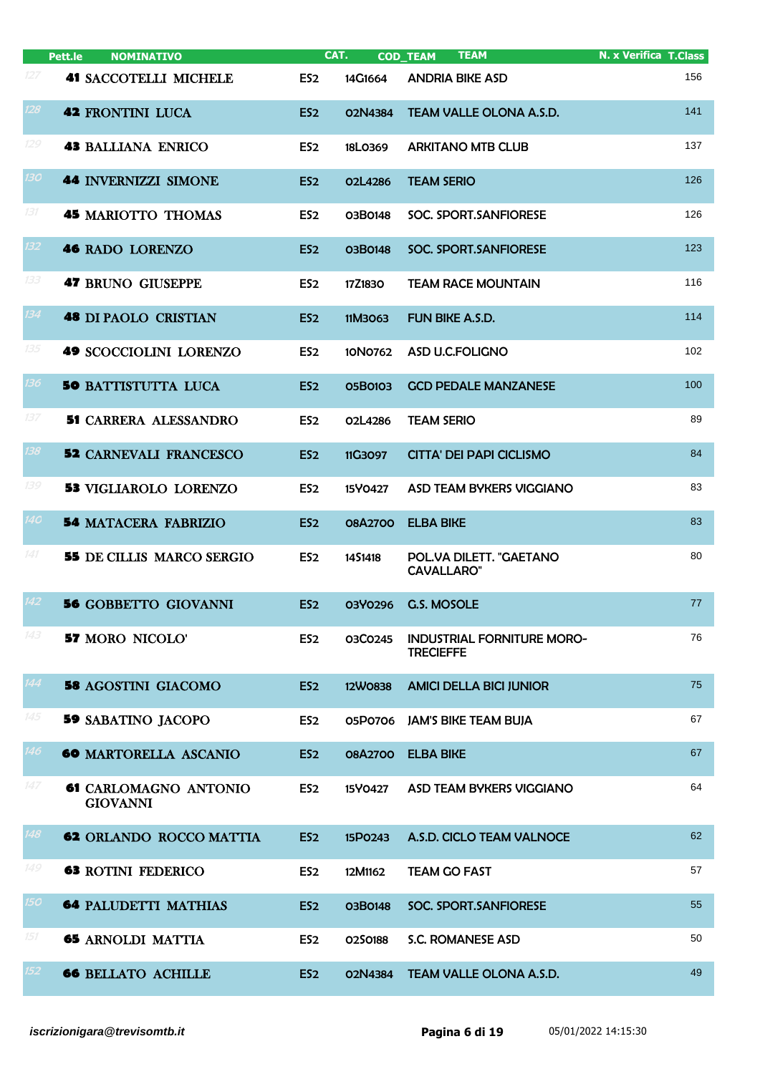|                  | <b>NOMINATIVO</b><br>Pett.le             |                 | CAT.    | <b>TEAM</b><br><b>COD_TEAM</b>                        | <b>N. x Verifica T.Class</b> |
|------------------|------------------------------------------|-----------------|---------|-------------------------------------------------------|------------------------------|
| 127              | <b>41 SACCOTELLI MICHELE</b>             | ES <sub>2</sub> | 14G1664 | <b>ANDRIA BIKE ASD</b>                                | 156                          |
| 128              | <b>42 FRONTINI LUCA</b>                  | ES <sub>2</sub> | 02N4384 | TEAM VALLE OLONA A.S.D.                               | 141                          |
| 129              | <b>43 BALLIANA ENRICO</b>                | ES <sub>2</sub> | 18L0369 | <b>ARKITANO MTB CLUB</b>                              | 137                          |
| <b>130</b>       | <b>44 INVERNIZZI SIMONE</b>              | ES <sub>2</sub> | O2L4286 | <b>TEAM SERIO</b>                                     | 126                          |
| 131              | <b>45 MARIOTTO THOMAS</b>                | ES <sub>2</sub> | 03B0148 | SOC. SPORT.SANFIORESE                                 | 126                          |
| 132 <sub>2</sub> | <b>46 RADO LORENZO</b>                   | ES <sub>2</sub> | 03B0148 | SOC. SPORT.SANFIORESE                                 | 123                          |
| 133              | <b>47 BRUNO GIUSEPPE</b>                 | ES <sub>2</sub> | 17Z1830 | <b>TEAM RACE MOUNTAIN</b>                             | 116                          |
| 134              | <b>48 DI PAOLO CRISTIAN</b>              | ES <sub>2</sub> | 11M3063 | FUN BIKE A.S.D.                                       | 114                          |
| 135              | <b>49 SCOCCIOLINI LORENZO</b>            | ES <sub>2</sub> | 10N0762 | ASD U.C.FOLIGNO                                       | 102                          |
| 136              | <b>50 BATTISTUTTA LUCA</b>               | ES <sub>2</sub> | 05B0103 | <b>GCD PEDALE MANZANESE</b>                           | 100                          |
| 137              | <b>51 CARRERA ALESSANDRO</b>             | ES <sub>2</sub> | 02L4286 | <b>TEAM SERIO</b>                                     | 89                           |
| 138              | <b>52 CARNEVALI FRANCESCO</b>            | ES <sub>2</sub> | 11G3097 | <b>CITTA' DEI PAPI CICLISMO</b>                       | 84                           |
| 139              | <b>53 VIGLIAROLO LORENZO</b>             | ES <sub>2</sub> | 15Y0427 | ASD TEAM BYKERS VIGGIANO                              | 83                           |
| <b>140</b>       | <b>54 MATACERA FABRIZIO</b>              | ES <sub>2</sub> | 08A2700 | <b>ELBA BIKE</b>                                      | 83                           |
| 141              | <b>55</b> DE CILLIS MARCO SERGIO         | ES <sub>2</sub> | 1451418 | POL.VA DILETT. "GAETANO<br><b>CAVALLARO"</b>          | 80                           |
| $\overline{142}$ | <b>56 GOBBETTO GIOVANNI</b>              | ES <sub>2</sub> | 03Y0296 | <b>G.S. MOSOLE</b>                                    | 77                           |
| 143              | <b>57 MORO NICOLO'</b>                   | ES <sub>2</sub> | 03C0245 | <b>INDUSTRIAL FORNITURE MORO-</b><br><b>TRECIEFFE</b> | 76                           |
| 144              | <b>58 AGOSTINI GIACOMO</b>               | ES <sub>2</sub> | 12W0838 | <b>AMICI DELLA BICI JUNIOR</b>                        | 75                           |
| 145              | <b>59 SABATINO JACOPO</b>                | ES <sub>2</sub> | 05P0706 | <b>JAM'S BIKE TEAM BUJA</b>                           | 67                           |
| 146              | <b>60 MARTORELLA ASCANIO</b>             | ES <sub>2</sub> | 08A2700 | <b>ELBA BIKE</b>                                      | 67                           |
| 147              | 61 CARLOMAGNO ANTONIO<br><b>GIOVANNI</b> | ES <sub>2</sub> | 15Y0427 | ASD TEAM BYKERS VIGGIANO                              | 64                           |
| 148              | <b>62 ORLANDO ROCCO MATTIA</b>           | ES <sub>2</sub> | 15P0243 | A.S.D. CICLO TEAM VALNOCE                             | 62                           |
| 149              | <b>63 ROTINI FEDERICO</b>                | ES <sub>2</sub> | 12M1162 | <b>TEAM GO FAST</b>                                   | 57                           |
| 150 <sub>2</sub> | <b>64 PALUDETTI MATHIAS</b>              | ES <sub>2</sub> | 03B0148 | SOC. SPORT.SANFIORESE                                 | 55                           |
| 151              | <b>65 ARNOLDI MATTIA</b>                 | ES <sub>2</sub> | 0250188 | S.C. ROMANESE ASD                                     | 50                           |
| 152              | <b>66 BELLATO ACHILLE</b>                | ES <sub>2</sub> | 02N4384 | TEAM VALLE OLONA A.S.D.                               | 49                           |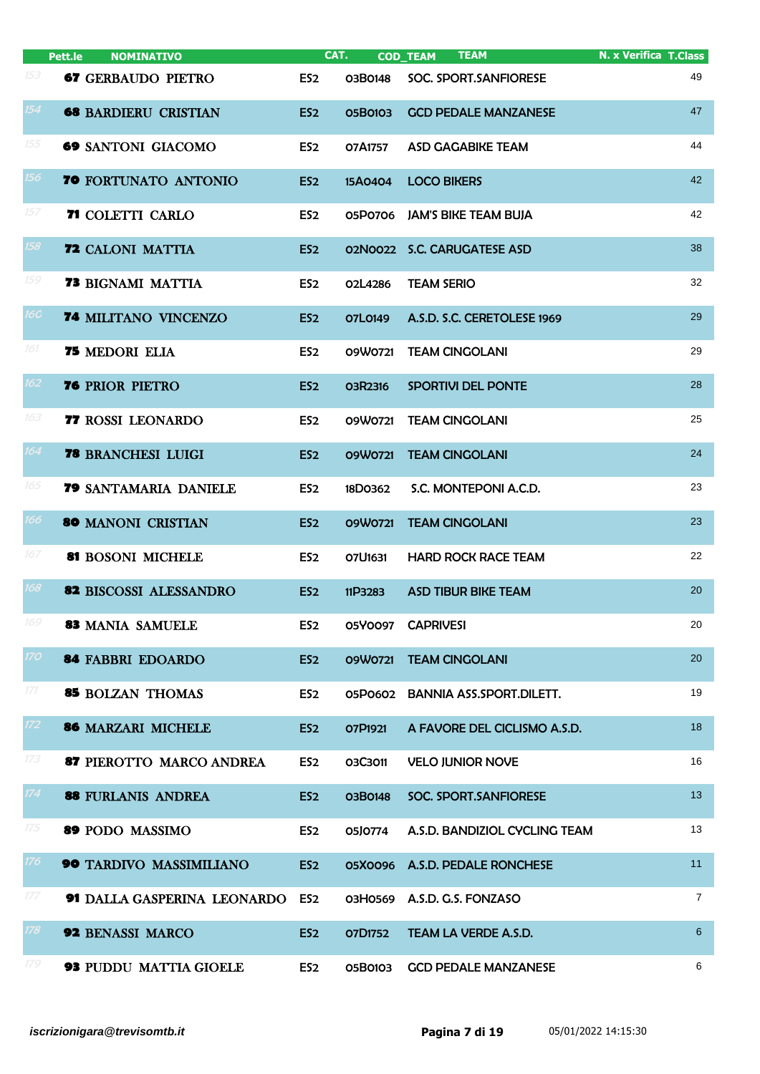|            | Pett.le<br><b>NOMINATIVO</b>  |                 | CAT.           | <b>TEAM</b><br><b>COD_TEAM</b>  | <b>N. x Verifica T.Class</b> |
|------------|-------------------------------|-----------------|----------------|---------------------------------|------------------------------|
| 153        | <b>67 GERBAUDO PIETRO</b>     | ES <sub>2</sub> | 03B0148        | SOC. SPORT.SANFIORESE           | 49                           |
| 154        | <b>68 BARDIERU CRISTIAN</b>   | ES <sub>2</sub> | 05B0103        | <b>GCD PEDALE MANZANESE</b>     | 47                           |
| 155        | <b>69 SANTONI GIACOMO</b>     | ES <sub>2</sub> | 07A1757        | ASD GAGABIKE TEAM               | 44                           |
| 156        | 70 FORTUNATO ANTONIO          | ES <sub>2</sub> | 15A0404        | <b>LOCO BIKERS</b>              | 42                           |
| 157        | 71 COLETTI CARLO              | ES <sub>2</sub> |                | 05P0706 JAM'S BIKE TEAM BUJA    | 42                           |
| 158        | <b>72 CALONI MATTIA</b>       | ES <sub>2</sub> | 02N0022        | <b>S.C. CARUGATESE ASD</b>      | 38                           |
| 159        | <b>73 BIGNAMI MATTIA</b>      | ES <sub>2</sub> | 02L4286        | <b>TEAM SERIO</b>               | 32                           |
| <b>16C</b> | 74 MILITANO VINCENZO          | ES <sub>2</sub> | O7L0149        | A.S.D. S.C. CERETOLESE 1969     | 29                           |
| 161        | <b>75 MEDORI ELIA</b>         | ES <sub>2</sub> | 09W0721        | <b>TEAM CINGOLANI</b>           | 29                           |
| 162        | <b>76 PRIOR PIETRO</b>        | ES <sub>2</sub> | O3R2316        | SPORTIVI DEL PONTE              | 28                           |
| 163        | 77 ROSSI LEONARDO             | ES <sub>2</sub> | 09W0721        | <b>TEAM CINGOLANI</b>           | 25                           |
| 164        | <b>78 BRANCHESI LUIGI</b>     | ES <sub>2</sub> | 09W0721        | <b>TEAM CINGOLANI</b>           | 24                           |
| 165        | 79 SANTAMARIA DANIELE         | ES <sub>2</sub> | 18D0362        | S.C. MONTEPONI A.C.D.           | 23                           |
| 166        | <b>80 MANONI CRISTIAN</b>     | ES <sub>2</sub> | 09W0721        | <b>TEAM CINGOLANI</b>           | 23                           |
| 167        | 81 BOSONI MICHELE             | ES <sub>2</sub> | 07U1631        | <b>HARD ROCK RACE TEAM</b>      | 22                           |
| 168        | <b>82 BISCOSSI ALESSANDRO</b> | ES <sub>2</sub> | 11P3283        | <b>ASD TIBUR BIKE TEAM</b>      | 20                           |
| 169        | 83 MANIA SAMUELE              | ES <sub>2</sub> |                | 05Y0097 CAPRIVESI               | 20                           |
| 170        | <b>84 FABBRI EDOARDO</b>      | ES <sub>2</sub> | 09W0721        | <b>TEAM CINGOLANI</b>           | 20                           |
| 171        | <b>85 BOLZAN THOMAS</b>       | ES <sub>2</sub> | 05P0602        | <b>BANNIA ASS.SPORT.DILETT.</b> | 19                           |
| 172        | 86 MARZARI MICHELE            | ES <sub>2</sub> | O7P1921        | A FAVORE DEL CICLISMO A.S.D.    | 18                           |
| 173        | 87 PIEROTTO MARCO ANDREA      | ES <sub>2</sub> | 03C3011        | <b>VELO JUNIOR NOVE</b>         | 16                           |
| 174        | 88 FURLANIS ANDREA            | ES <sub>2</sub> | 03B0148        | SOC. SPORT.SANFIORESE           | 13 <sup>°</sup>              |
| 175        | 89 PODO MASSIMO               | ES <sub>2</sub> | 05J0774        | A.S.D. BANDIZIOL CYCLING TEAM   | 13                           |
| 176        | 90 TARDIVO MASSIMILIANO       | ES <sub>2</sub> |                | 05X0096 A.S.D. PEDALE RONCHESE  | 11                           |
| 177        | 91 DALLA GASPERINA LEONARDO   | ES <sub>2</sub> | 03H0569        | A.S.D. G.S. FONZASO             | $\overline{7}$               |
| 178        | <b>92 BENASSI MARCO</b>       | ES <sub>2</sub> | <b>07D1752</b> | TEAM LA VERDE A.S.D.            | 6                            |
| 179        | <b>93 PUDDU MATTIA GIOELE</b> | ES <sub>2</sub> | 05B0103        | <b>GCD PEDALE MANZANESE</b>     | 6                            |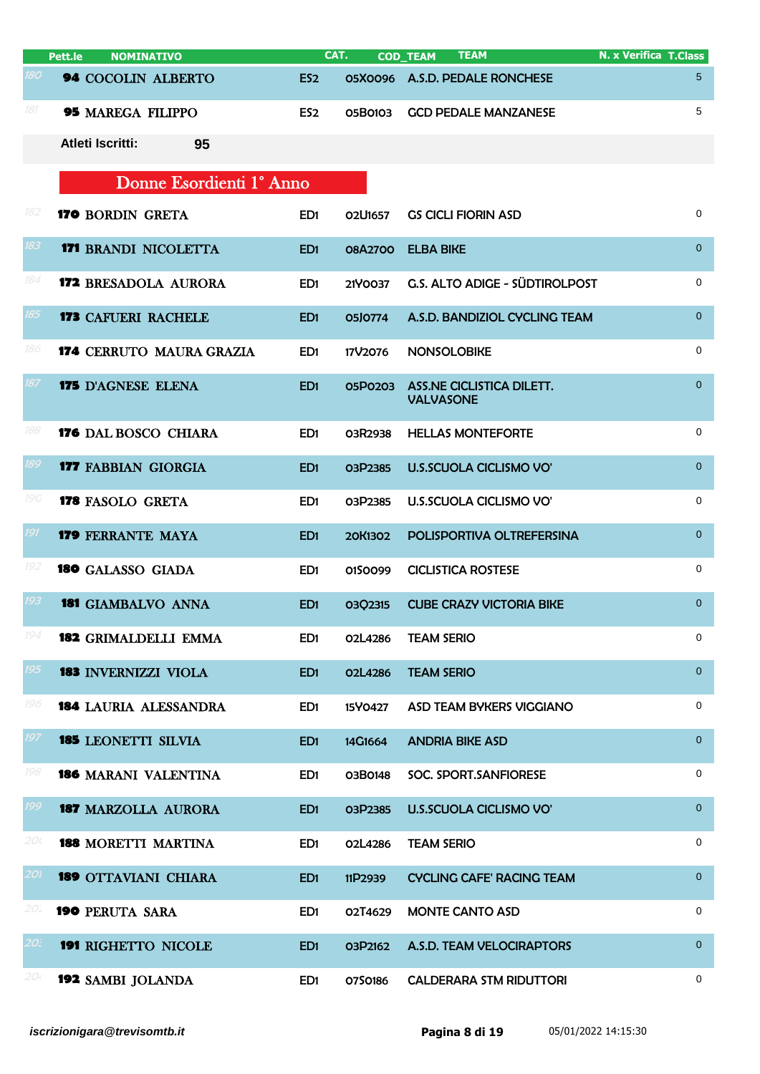|            | Pett.le                 | <b>NOMINATIVO</b>               | CAT.            |         | <b>COD_TEAM</b>        | <b>TEAM</b>                      | <b>N. x Verifica T.Class</b> |
|------------|-------------------------|---------------------------------|-----------------|---------|------------------------|----------------------------------|------------------------------|
| <b>180</b> |                         | 94 COCOLIN ALBERTO              | ES <sub>2</sub> |         |                        | 05X0096 A.S.D. PEDALE RONCHESE   | 5                            |
| 181        |                         | <b>95 MAREGA FILIPPO</b>        | ES <sub>2</sub> | 05B0103 |                        | <b>GCD PEDALE MANZANESE</b>      | 5                            |
|            | <b>Atleti Iscritti:</b> | 95                              |                 |         |                        |                                  |                              |
|            |                         | Donne Esordienti 1º Anno        |                 |         |                        |                                  |                              |
| 182        |                         | 170 BORDIN GRETA                | ED <sub>1</sub> | O2U1657 |                        | <b>GS CICLI FIORIN ASD</b>       | 0                            |
| 183        |                         | <b>171 BRANDI NICOLETTA</b>     | ED <sub>1</sub> | 08A2700 | <b>ELBA BIKE</b>       |                                  | $\mathbf{0}$                 |
| 184        |                         | <b>172 BRESADOLA AURORA</b>     | ED <sub>1</sub> | 21Y0037 |                        | G.S. ALTO ADIGE - SÜDTIROLPOST   | $\mathbf 0$                  |
| 185        |                         | <b>173 CAFUERI RACHELE</b>      | ED <sub>1</sub> | 05J0774 |                        | A.S.D. BANDIZIOL CYCLING TEAM    | $\mathbf{0}$                 |
| 186        |                         | <b>174 CERRUTO MAURA GRAZIA</b> | ED <sub>1</sub> | 17V2076 | <b>NONSOLOBIKE</b>     |                                  | $\mathbf 0$                  |
| 187        |                         | <b>175</b> D'AGNESE ELENA       | ED <sub>1</sub> | 05P0203 | <b>VALVASONE</b>       | ASS.NE CICLISTICA DILETT.        | $\overline{0}$               |
| 188        |                         | <b>176 DAL BOSCO CHIARA</b>     | ED <sub>1</sub> | 03R2938 |                        | <b>HELLAS MONTEFORTE</b>         | 0                            |
| 189        |                         | <b>177 FABBIAN GIORGIA</b>      | ED <sub>1</sub> | 03P2385 |                        | <b>U.S.SCUOLA CICLISMO VO'</b>   | $\mathbf 0$                  |
| 190        |                         | <b>178 FASOLO GRETA</b>         | ED <sub>1</sub> | 03P2385 |                        | U.S.SCUOLA CICLISMO VO'          | 0                            |
| 191        |                         | <b>179 FERRANTE MAYA</b>        | ED <sub>1</sub> | 20K1302 |                        | POLISPORTIVA OLTREFERSINA        | $\overline{0}$               |
| 192        |                         | <b>180</b> GALASSO GIADA        | ED <sub>1</sub> | 0150099 |                        | <b>CICLISTICA ROSTESE</b>        | 0                            |
| 193        |                         | <b>181 GIAMBALVO ANNA</b>       | ED <sub>1</sub> | 0302315 |                        | <b>CUBE CRAZY VICTORIA BIKE</b>  | $\overline{0}$               |
| 194        |                         | <b>182 GRIMALDELLI EMMA</b>     | ED1             | 02L4286 | <b>TEAM SERIO</b>      |                                  | 0                            |
| 195        |                         | <b>183 INVERNIZZI VIOLA</b>     | ED <sub>1</sub> | O2L4286 | <b>TEAM SERIO</b>      |                                  | $\overline{0}$               |
| 196        |                         | <b>184 LAURIA ALESSANDRA</b>    | ED <sub>1</sub> | 15Y0427 |                        | <b>ASD TEAM BYKERS VIGGIANO</b>  | 0                            |
| 197        |                         | <b>185 LEONETTI SILVIA</b>      | ED <sub>1</sub> | 14G1664 | <b>ANDRIA BIKE ASD</b> |                                  | $\overline{0}$               |
| 198        |                         | <b>186 MARANI VALENTINA</b>     | ED <sub>1</sub> | 03B0148 |                        | <b>SOC. SPORT.SANFIORESE</b>     | $\mathbf 0$                  |
| 199        |                         | <b>187 MARZOLLA AURORA</b>      | ED <sub>1</sub> | 03P2385 |                        | <b>U.S.SCUOLA CICLISMO VO'</b>   | $\overline{0}$               |
| 20 (       |                         | <b>188 MORETTI MARTINA</b>      | ED <sub>1</sub> | O2L4286 | <b>TEAM SERIO</b>      |                                  | 0                            |
| 201        |                         | <b>189 OTTAVIANI CHIARA</b>     | ED <sub>1</sub> | 11P2939 |                        | <b>CYCLING CAFE' RACING TEAM</b> | $\mathbf{0}$                 |
| 20.        |                         | <b>190 PERUTA SARA</b>          | ED <sub>1</sub> | 02T4629 |                        | <b>MONTE CANTO ASD</b>           | $\mathbf 0$                  |
| 20.        |                         | <b>191 RIGHETTO NICOLE</b>      | ED <sub>1</sub> | O3P2162 |                        | A.S.D. TEAM VELOCIRAPTORS        | $\overline{0}$               |
| 204        |                         | 192 SAMBI JOLANDA               | ED <sub>1</sub> | 0750186 |                        | <b>CALDERARA STM RIDUTTORI</b>   | 0                            |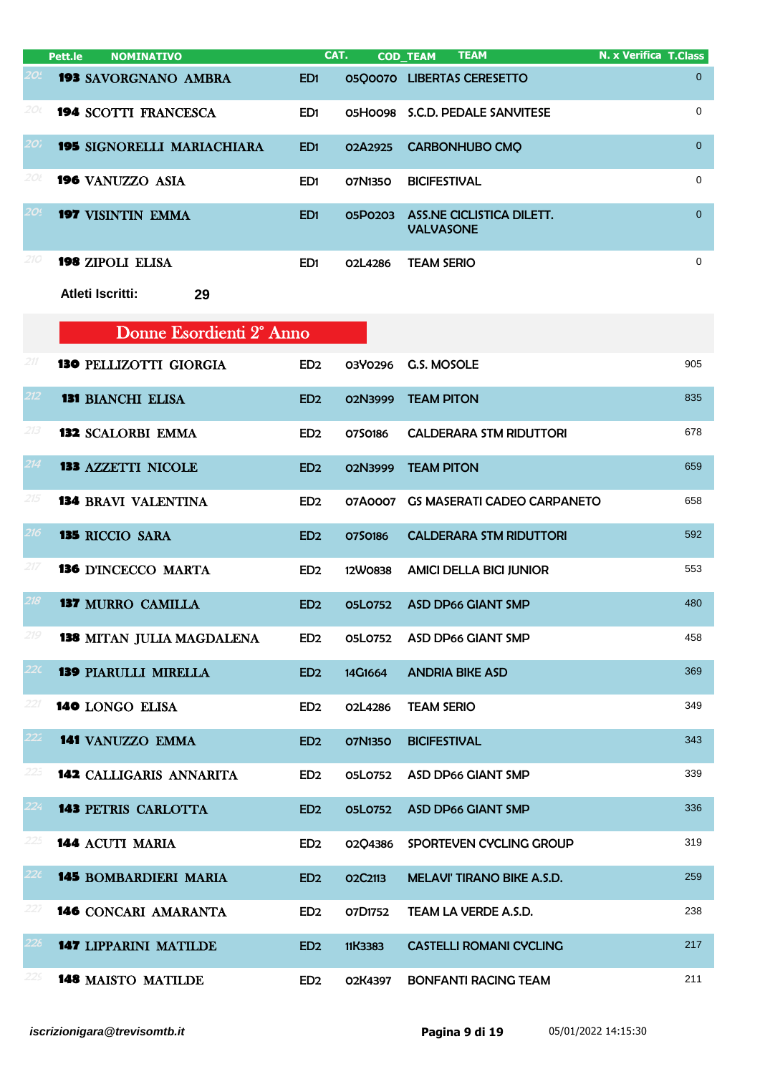|                 | <b>NOMINATIVO</b><br>Pett.le         |                 | CAT.           | <b>TEAM</b><br><b>COD_TEAM</b>                | <b>N. x Verifica T.Class</b> |
|-----------------|--------------------------------------|-----------------|----------------|-----------------------------------------------|------------------------------|
| 20L             | <b>193 SAVORGNANO AMBRA</b>          | ED <sub>1</sub> |                | 05Q0070 LIBERTAS CERESETTO                    | 0                            |
| 2Οι             | <b>194 SCOTTI FRANCESCA</b>          | ED <sub>1</sub> | 05H0098        | S.C.D. PEDALE SANVITESE                       | 0                            |
| 20'i            | <b>195 SIGNORELLI MARIACHIARA</b>    | ED1             | 02A2925        | <b>CARBONHUBO CMQ</b>                         | $\overline{0}$               |
| 20l             | 196 VANUZZO ASIA                     | ED <sub>1</sub> | 07N1350        | <b>BICIFESTIVAL</b>                           | 0                            |
| 20!             | 197 VISINTIN EMMA                    | ED <sub>1</sub> | 05P0203        | ASS.NE CICLISTICA DILETT.<br><b>VALVASONE</b> | $\overline{0}$               |
| 210             | 198 ZIPOLI ELISA                     | ED <sub>1</sub> | 02L4286        | <b>TEAM SERIO</b>                             | 0                            |
|                 | Atleti Iscritti:<br>29               |                 |                |                                               |                              |
|                 | Donne Esordienti 2 <sup>°</sup> Anno |                 |                |                                               |                              |
| 211             | <b>130 PELLIZOTTI GIORGIA</b>        | ED <sub>2</sub> | 03Y0296        | G.S. MOSOLE                                   | 905                          |
| 212             | <b>131 BIANCHI ELISA</b>             | ED <sub>2</sub> | 02N3999        | <b>TEAM PITON</b>                             | 835                          |
| 213             | <b>132 SCALORBI EMMA</b>             | ED <sub>2</sub> | 0750186        | <b>CALDERARA STM RIDUTTORI</b>                | 678                          |
| 214             | <b>133 AZZETTI NICOLE</b>            | ED <sub>2</sub> | 02N3999        | <b>TEAM PITON</b>                             | 659                          |
| 215             | <b>134 BRAVI VALENTINA</b>           | ED <sub>2</sub> | 07A0007        | <b>GS MASERATI CADEO CARPANETO</b>            | 658                          |
| 216             | <b>135 RICCIO SARA</b>               | ED <sub>2</sub> | 0750186        | <b>CALDERARA STM RIDUTTORI</b>                | 592                          |
| 217             | <b>136 D'INCECCO MARTA</b>           | ED <sub>2</sub> | 12W0838        | <b>AMICI DELLA BICI JUNIOR</b>                | 553                          |
| 218             | <b>137 MURRO CAMILLA</b>             | ED <sub>2</sub> | <b>05L0752</b> | <b>ASD DP66 GIANT SMP</b>                     | 480                          |
| 219             | <b>138 MITAN JULIA MAGDALENA</b>     | ED <sub>2</sub> | 05L0752        | ASD DP66 GIANT SMP                            | 458                          |
| 22 <sub>C</sub> | <b>139 PIARULLI MIRELLA</b>          | ED <sub>2</sub> | 14G1664        | <b>ANDRIA BIKE ASD</b>                        | 369                          |
| 221             | 140 LONGO ELISA                      | ED <sub>2</sub> | O2L4286        | <b>TEAM SERIO</b>                             | 349                          |
| 222             | 141 VANUZZO EMMA                     | ED <sub>2</sub> | 07N1350        | <b>BICIFESTIVAL</b>                           | 343                          |
| 223             | <b>142 CALLIGARIS ANNARITA</b>       | ED <sub>2</sub> | 05L0752        | <b>ASD DP66 GIANT SMP</b>                     | 339                          |
| 224             | <b>143 PETRIS CARLOTTA</b>           | ED <sub>2</sub> | <b>05L0752</b> | <b>ASD DP66 GIANT SMP</b>                     | 336                          |
| 225             | 144 ACUTI MARIA                      | ED <sub>2</sub> | 02Q4386        | SPORTEVEN CYCLING GROUP                       | 319                          |
| $22\epsilon$    | <b>145 BOMBARDIERI MARIA</b>         | ED <sub>2</sub> | O2C2113        | MELAVI' TIRANO BIKE A.S.D.                    | 259                          |
| 227             | 146 CONCARI AMARANTA                 | ED <sub>2</sub> | 07D1752        | TEAM LA VERDE A.S.D.                          | 238                          |
| 228             | <b>147 LIPPARINI MATILDE</b>         | ED <sub>2</sub> | 11K3383        | <b>CASTELLI ROMANI CYCLING</b>                | 217                          |
| 22s             | <b>148 MAISTO MATILDE</b>            | ED <sub>2</sub> | 02K4397        | <b>BONFANTI RACING TEAM</b>                   | 211                          |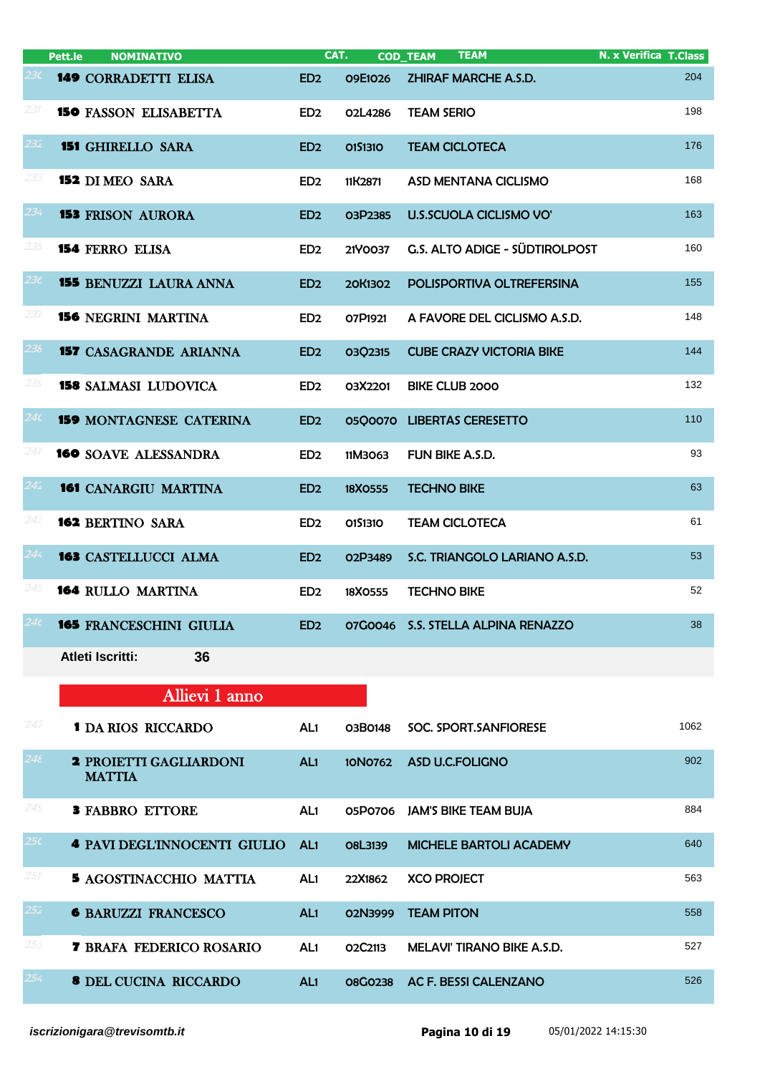|       | <b>NOMINATIVO</b><br>Pett.le                   |                 | CAT.                             | <b>TEAM</b><br><b>COD_TEAM</b>     | <b>N. x Verifica T.Class</b> |
|-------|------------------------------------------------|-----------------|----------------------------------|------------------------------------|------------------------------|
| 23C - | <b>149 CORRADETTI ELISA</b>                    | ED <sub>2</sub> | 09E1026                          | <b>ZHIRAF MARCHE A.S.D.</b>        | 204                          |
| 231   | <b>150 FASSON ELISABETTA</b>                   | ED <sub>2</sub> | 02L4286                          | <b>TEAM SERIO</b>                  | 198                          |
| 232   | <b>151 GHIRELLO SARA</b>                       | ED <sub>2</sub> | 0151310                          | <b>TEAM CICLOTECA</b>              | 176                          |
| 233   | <b>152 DI MEO SARA</b>                         | ED <sub>2</sub> | 11K2871                          | ASD MENTANA CICLISMO               | 168                          |
| 234   | <b>153 FRISON AURORA</b>                       | ED <sub>2</sub> | O3P2385                          | <b>U.S.SCUOLA CICLISMO VO'</b>     | 163                          |
| 235   | <b>154 FERRO ELISA</b>                         | ED <sub>2</sub> | 21Y0037                          | G.S. ALTO ADIGE - SÜDTIROLPOST     | 160                          |
| 236   | <b>155 BENUZZI LAURA ANNA</b>                  | ED <sub>2</sub> | 20K1302                          | POLISPORTIVA OLTREFERSINA          | 155                          |
| 237   | <b>156 NEGRINI MARTINA</b>                     | ED <sub>2</sub> | O7P1921                          | A FAVORE DEL CICLISMO A.S.D.       | 148                          |
| 238   | <b>157 CASAGRANDE ARIANNA</b>                  | ED <sub>2</sub> | 03Q2315                          | <b>CUBE CRAZY VICTORIA BIKE</b>    | 144                          |
| 239   | <b>158 SALMASI LUDOVICA</b>                    | ED <sub>2</sub> | 03X2201                          | <b>BIKE CLUB 2000</b>              | 132                          |
| 240   | <b>159 MONTAGNESE CATERINA</b>                 | ED <sub>2</sub> |                                  | 05Q0070 LIBERTAS CERESETTO         | 110                          |
| 241   | <b>160 SOAVE ALESSANDRA</b>                    | ED <sub>2</sub> | 11M3063                          | FUN BIKE A.S.D.                    | 93                           |
| 242   | <b>161 CANARGIU MARTINA</b>                    | ED <sub>2</sub> | 18X0555                          | <b>TECHNO BIKE</b>                 | 63                           |
| 243   | <b>162 BERTINO SARA</b>                        | ED <sub>2</sub> | 0151310                          | <b>TEAM CICLOTECA</b>              | 61                           |
| 244   | <b>163 CASTELLUCCI ALMA</b>                    | ED <sub>2</sub> | O <sub>2</sub> P <sub>3489</sub> | S.C. TRIANGOLO LARIANO A.S.D.      | 53                           |
| 245   | <b>164 RULLO MARTINA</b>                       | ED <sub>2</sub> | 18X0555                          | <b>TECHNO BIKE</b>                 | 52                           |
|       | <b>165 FRANCESCHINI GIULIA</b>                 | ED <sub>2</sub> |                                  | 07G0046 S.S. STELLA ALPINA RENAZZO | 38                           |
|       | <b>Atleti Iscritti:</b><br>36                  |                 |                                  |                                    |                              |
|       | Allievi 1 anno                                 |                 |                                  |                                    |                              |
| 247   | <b>1 DA RIOS RICCARDO</b>                      | AL1             | 03B0148                          | SOC. SPORT.SANFIORESE              | 1062                         |
| 248   | <b>2 PROIETTI GAGLIARDONI</b><br><b>MATTIA</b> | AL1             | <b>10N0762</b>                   | ASD U.C.FOLIGNO                    | 902                          |

| 24 <sup>5</sup> | <b>3 FABBRO ETTORE</b>              | AL1             | 05P0706                          | <b>JAM'S BIKE TEAM BUJA</b>       | 884 |
|-----------------|-------------------------------------|-----------------|----------------------------------|-----------------------------------|-----|
| 25 <sub>c</sub> | <b>4 PAVI DEGL'INNOCENTI GIULIO</b> | AL <sub>1</sub> | O8L3139                          | <b>MICHELE BARTOLI ACADEMY</b>    | 640 |
| 251             | <b>5 AGOSTINACCHIO MATTIA</b>       | AL1             | 22X1862                          | <b>XCO PROJECT</b>                | 563 |
| $252^{\circ}$   | <b>6 BARUZZI FRANCESCO</b>          | AL <sub>1</sub> | 02N3999                          | <b>TEAM PITON</b>                 | 558 |
| 253             | <b>7 BRAFA FEDERICO ROSARIO</b>     | AL1             | O <sub>2</sub> C <sub>2113</sub> | <b>MELAVI' TIRANO BIKE A.S.D.</b> | 527 |
| 254             | <b>8 DEL CUCINA RICCARDO</b>        | AL <sub>1</sub> | <b>O8GO238</b>                   | AC F. BESSI CALENZANO             | 526 |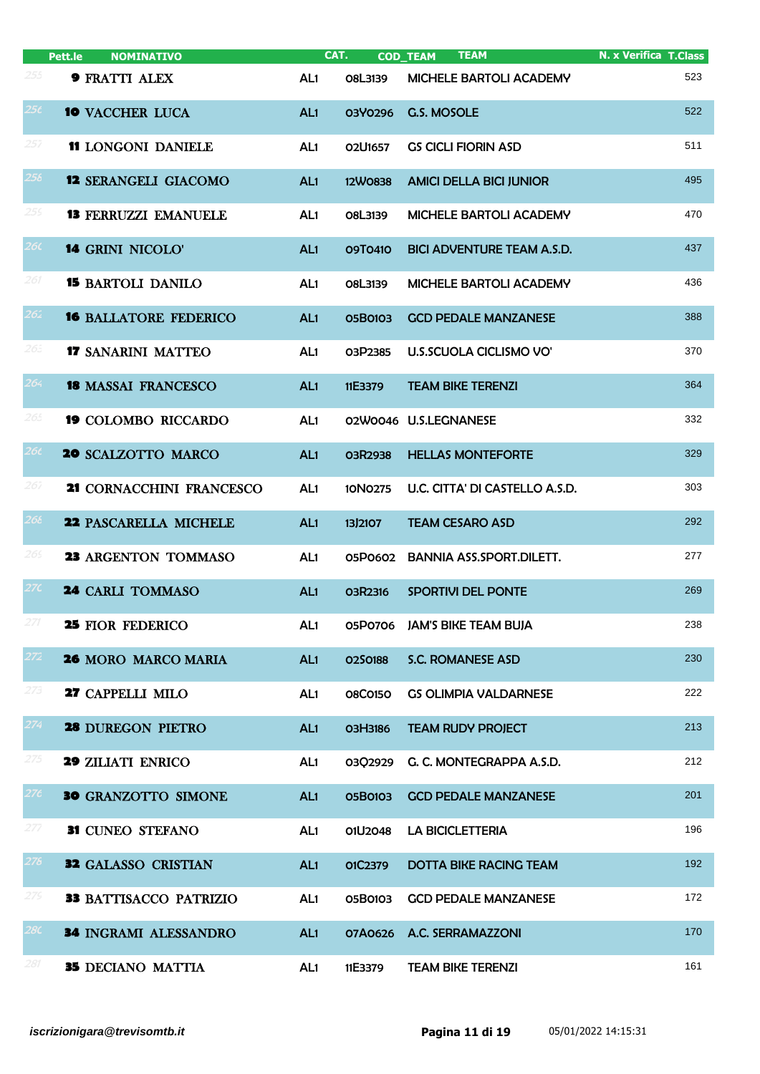|                 | Pett.le<br><b>NOMINATIVO</b>  |                 | CAT.           | <b>TEAM</b><br><b>COD_TEAM</b>    | <b>N. x Verifica T.Class</b> |
|-----------------|-------------------------------|-----------------|----------------|-----------------------------------|------------------------------|
| 255             | <b>9 FRATTI ALEX</b>          | AL <sub>1</sub> | O8L3139        | MICHELE BARTOLI ACADEMY           | 523                          |
| 25 <sub>t</sub> | <b>10 VACCHER LUCA</b>        | AL <sub>1</sub> | 03Y0296        | <b>G.S. MOSOLE</b>                | 522                          |
| 257             | <b>11 LONGONI DANIELE</b>     | AL <sub>1</sub> | O2U1657        | <b>GS CICLI FIORIN ASD</b>        | 511                          |
| 258             | <b>12 SERANGELI GIACOMO</b>   | AL <sub>1</sub> | <b>12W0838</b> | <b>AMICI DELLA BICI JUNIOR</b>    | 495                          |
| 259             | <b>13 FERRUZZI EMANUELE</b>   | AL <sub>1</sub> | O8L3139        | <b>MICHELE BARTOLI ACADEMY</b>    | 470                          |
| 26 <sub>c</sub> | <b>14 GRINI NICOLO'</b>       | AL <sub>1</sub> | 09T0410        | <b>BICI ADVENTURE TEAM A.S.D.</b> | 437                          |
| 261             | <b>15 BARTOLI DANILO</b>      | AL <sub>1</sub> | O8L3139        | MICHELE BARTOLI ACADEMY           | 436                          |
| $262^{\circ}$   | <b>16 BALLATORE FEDERICO</b>  | AL <sub>1</sub> | 05B0103        | <b>GCD PEDALE MANZANESE</b>       | 388                          |
| 265             | <b>17 SANARINI MATTEO</b>     | AL <sub>1</sub> | 03P2385        | <b>U.S.SCUOLA CICLISMO VO'</b>    | 370                          |
| 264             | <b>18 MASSAI FRANCESCO</b>    | AL <sub>1</sub> | 11E3379        | <b>TEAM BIKE TERENZI</b>          | 364                          |
| 265             | <b>19 COLOMBO RICCARDO</b>    | AL <sub>1</sub> |                | 02W0046 U.S.LEGNANESE             | 332                          |
| 26 <sub>t</sub> | <b>20 SCALZOTTO MARCO</b>     | AL <sub>1</sub> | 03R2938        | <b>HELLAS MONTEFORTE</b>          | 329                          |
| 267             | 21 CORNACCHINI FRANCESCO      | AL <sub>1</sub> | 10N0275        | U.C. CITTA' DI CASTELLO A.S.D.    | 303                          |
| 266             | 22 PASCARELLA MICHELE         | AL <sub>1</sub> | 13/2107        | <b>TEAM CESARO ASD</b>            | 292                          |
| 265             | <b>23 ARGENTON TOMMASO</b>    | AL <sub>1</sub> | 05P0602        | <b>BANNIA ASS.SPORT.DILETT.</b>   | 277                          |
| 27C             | <b>24 CARLI TOMMASO</b>       | AL <sub>1</sub> | O3R2316        | SPORTIVI DEL PONTE                | 269                          |
| 271             | 25 FIOR FEDERICO              | AL1             | 05P0706        | <b>JAM'S BIKE TEAM BUJA</b>       | 238                          |
| 272             | <b>26 MORO MARCO MARIA</b>    | AL1             | 0250188        | <b>S.C. ROMANESE ASD</b>          | 230                          |
| 273             | 27 CAPPELLI MILO              | AL <sub>1</sub> | <b>08C0150</b> | <b>GS OLIMPIA VALDARNESE</b>      | 222                          |
| 274             | <b>28 DUREGON PIETRO</b>      | AL1             | O3H3186        | <b>TEAM RUDY PROJECT</b>          | 213                          |
| 275             | <b>29 ZILIATI ENRICO</b>      | AL1             | 03Q2929        | G. C. MONTEGRAPPA A.S.D.          | 212                          |
| 276             | <b>30 GRANZOTTO SIMONE</b>    | AL1             | 05B0103        | <b>GCD PEDALE MANZANESE</b>       | 201                          |
| 277             | 31 CUNEO STEFANO              | AL <sub>1</sub> | 01U2048        | <b>LA BICICLETTERIA</b>           | 196                          |
| 276             | <b>32 GALASSO CRISTIAN</b>    | AL1             | 01C2379        | <b>DOTTA BIKE RACING TEAM</b>     | 192                          |
| 275             | <b>33 BATTISACCO PATRIZIO</b> | AL <sub>1</sub> | 05B0103        | <b>GCD PEDALE MANZANESE</b>       | 172                          |
| 28C             | 34 INGRAMI ALESSANDRO         | AL1             | 07A0626        | A.C. SERRAMAZZONI                 | 170                          |
| 281             | 35 DECIANO MATTIA             | AL <sub>1</sub> | 11E3379        | <b>TEAM BIKE TERENZI</b>          | 161                          |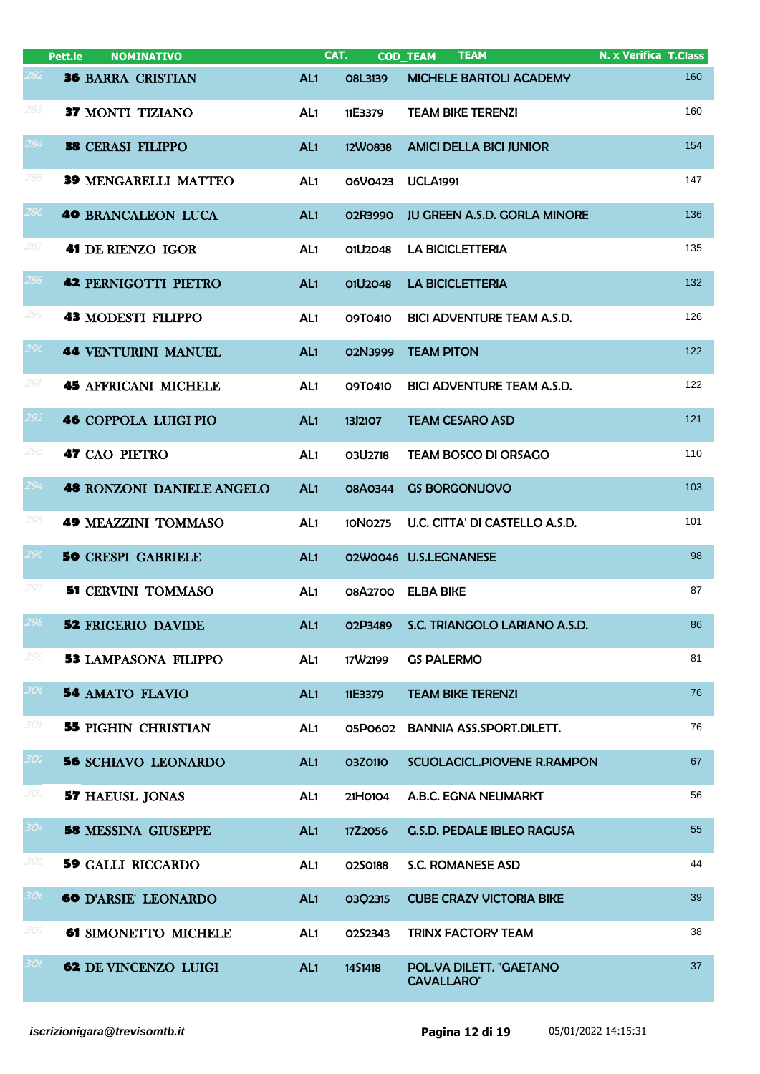|                 | <b>NOMINATIVO</b><br>Pett.le     |                 | CAT.           | <b>TEAM</b><br><b>COD_TEAM</b>               | <b>N. x Verifica T.Class</b> |
|-----------------|----------------------------------|-----------------|----------------|----------------------------------------------|------------------------------|
| 282             | <b>36 BARRA CRISTIAN</b>         | AL <sub>1</sub> | <b>O8L3139</b> | MICHELE BARTOLI ACADEMY                      | 160                          |
| 285             | 37 MONTI TIZIANO                 | AL <sub>1</sub> | 11E3379        | <b>TEAM BIKE TERENZI</b>                     | 160                          |
| 284             | <b>38 CERASI FILIPPO</b>         | AL <sub>1</sub> | 12W0838        | <b>AMICI DELLA BICI JUNIOR</b>               | 154                          |
| 285             | <b>39 MENGARELLI MATTEO</b>      | AL <sub>1</sub> | 06V0423        | <b>UCLA1991</b>                              | 147                          |
| 28 <sub>c</sub> | <b>40 BRANCALEON LUCA</b>        | AL <sub>1</sub> | 02R3990        | <b>JU GREEN A.S.D. GORLA MINORE</b>          | 136                          |
| 287             | <b>41 DE RIENZO IGOR</b>         | AL <sub>1</sub> | 01U2048        | <b>LA BICICLETTERIA</b>                      | 135                          |
| 288             | <b>42 PERNIGOTTI PIETRO</b>      | AL <sub>1</sub> | 01U2048        | <b>LA BICICLETTERIA</b>                      | 132                          |
| 289             | <b>43 MODESTI FILIPPO</b>        | AL1             | 09T0410        | <b>BICI ADVENTURE TEAM A.S.D.</b>            | 126                          |
| 29 <sub>C</sub> | <b>44 VENTURINI MANUEL</b>       | AL <sub>1</sub> | 02N3999        | <b>TEAM PITON</b>                            | 122                          |
| 291             | <b>45 AFFRICANI MICHELE</b>      | AL <sub>1</sub> | 09T0410        | <b>BICI ADVENTURE TEAM A.S.D.</b>            | 122                          |
| 292             | <b>46 COPPOLA LUIGI PIO</b>      | AL <sub>1</sub> | 13/2107        | <b>TEAM CESARO ASD</b>                       | 121                          |
| 293             | <b>47 CAO PIETRO</b>             | AL <sub>1</sub> | 03U2718        | <b>TEAM BOSCO DI ORSAGO</b>                  | 110                          |
| 294             | <b>48 RONZONI DANIELE ANGELO</b> | AL <sub>1</sub> | 08A0344        | <b>GS BORGONUOVO</b>                         | 103                          |
| 295             | <b>49 MEAZZINI TOMMASO</b>       | AL <sub>1</sub> | 10N0275        | U.C. CITTA' DI CASTELLO A.S.D.               | 101                          |
| 296             | <b>50 CRESPI GABRIELE</b>        | AL <sub>1</sub> |                | 02W0046 U.S.LEGNANESE                        | 98                           |
| 297             | <b>51 CERVINI TOMMASO</b>        | AL <sub>1</sub> |                | 08A2700 ELBA BIKE                            | 87                           |
| 296             | <b>52 FRIGERIO DAVIDE</b>        | AL1             | 02P3489        | S.C. TRIANGOLO LARIANO A.S.D.                | 86                           |
| 295             | <b>53 LAMPASONA FILIPPO</b>      | AL <sub>1</sub> | 17W2199        | <b>GS PALERMO</b>                            | 81                           |
| 30(             | <b>54 AMATO FLAVIO</b>           | AL <sub>1</sub> | 11E3379        | <b>TEAM BIKE TERENZI</b>                     | 76                           |
| 301             | <b>55 PIGHIN CHRISTIAN</b>       | AL <sub>1</sub> | 05P0602        | <b>BANNIA ASS.SPORT.DILETT.</b>              | 76                           |
| 301             | <b>56</b> SCHIAVO LEONARDO       | AL <sub>1</sub> | <b>03Z0110</b> | SCUOLACICL.PIOVENE R.RAMPON                  | 67                           |
| 30:             | <b>57 HAEUSL JONAS</b>           | AL1             | 21H0104        | A.B.C. EGNA NEUMARKT                         | 56                           |
| 304             | <b>58 MESSINA GIUSEPPE</b>       | AL <sub>1</sub> | 17Z2056        | <b>G.S.D. PEDALE IBLEO RAGUSA</b>            | 55                           |
| 30.             | <b>59 GALLI RICCARDO</b>         | AL <sub>1</sub> | 0250188        | S.C. ROMANESE ASD                            | 44                           |
| 30 <sub>l</sub> | <b>60 D'ARSIE' LEONARDO</b>      | AL <sub>1</sub> | 03Q2315        | <b>CUBE CRAZY VICTORIA BIKE</b>              | 39                           |
| 30 i            | <b>61 SIMONETTO MICHELE</b>      | AL1             | 0252343        | <b>TRINX FACTORY TEAM</b>                    | 38                           |
| 30t             | <b>62 DE VINCENZO LUIGI</b>      | AL <sub>1</sub> | 1451418        | POL.VA DILETT. "GAETANO<br><b>CAVALLARO"</b> | 37                           |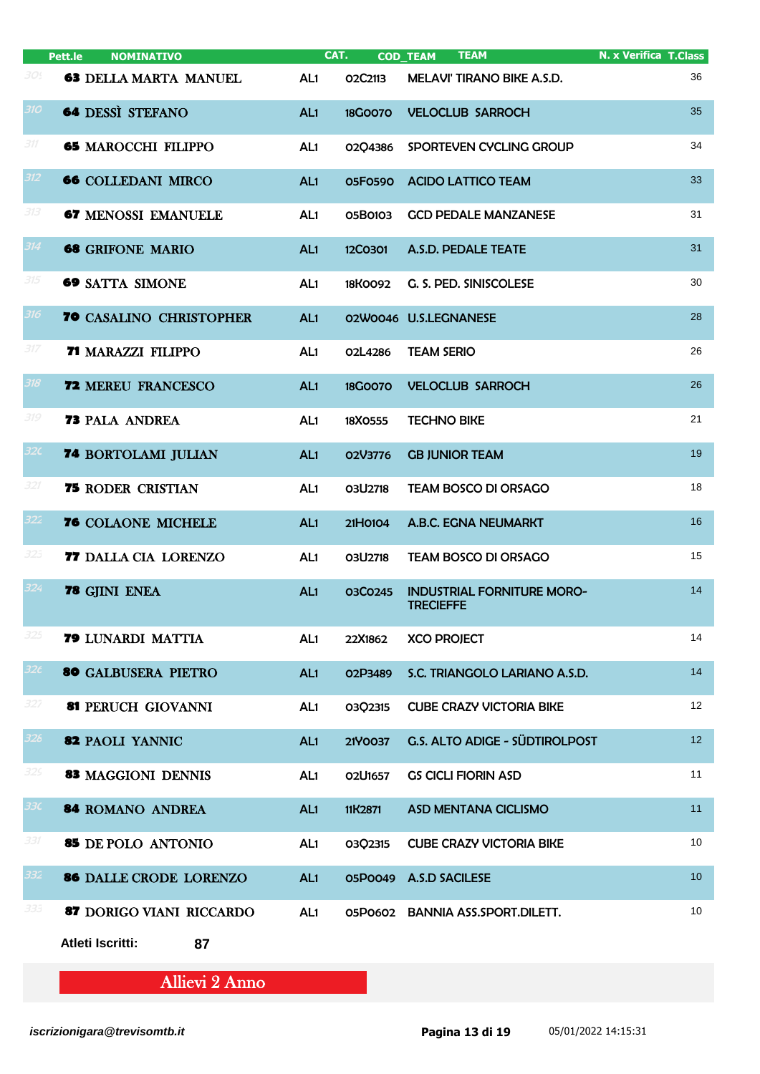|                 | <b>NOMINATIVO</b><br>Pett.le   |                 | CAT.           | <b>TEAM</b><br><b>COD_TEAM</b>                        | <b>N. x Verifica T.Class</b> |
|-----------------|--------------------------------|-----------------|----------------|-------------------------------------------------------|------------------------------|
| 30!             | <b>63 DELLA MARTA MANUEL</b>   | AL <sub>1</sub> | 02C2113        | MELAVI' TIRANO BIKE A.S.D.                            | 36                           |
| 310             | <b>64 DESSÌ STEFANO</b>        | AL <sub>1</sub> | <b>18G0070</b> | <b>VELOCLUB SARROCH</b>                               | 35                           |
| 311             | <b>65 MAROCCHI FILIPPO</b>     | AL <sub>1</sub> | 02Q4386        | SPORTEVEN CYCLING GROUP                               | 34                           |
| 312             | <b>66 COLLEDANI MIRCO</b>      | AL <sub>1</sub> | <b>05F0590</b> | <b>ACIDO LATTICO TEAM</b>                             | 33                           |
| 313             | <b>67 MENOSSI EMANUELE</b>     | AL <sub>1</sub> | 05B0103        | <b>GCD PEDALE MANZANESE</b>                           | 31                           |
| 314             | <b>68 GRIFONE MARIO</b>        | AL <sub>1</sub> | 12C0301        | A.S.D. PEDALE TEATE                                   | 31                           |
| 315             | <b>69 SATTA SIMONE</b>         | AL <sub>1</sub> | 18K0092        | G. S. PED. SINISCOLESE                                | 30                           |
| 316             | <b>70 CASALINO CHRISTOPHER</b> | AL <sub>1</sub> |                | 02W0046 U.S.LEGNANESE                                 | 28                           |
| 317             | <b>71 MARAZZI FILIPPO</b>      | AL <sub>1</sub> | 02L4286        | <b>TEAM SERIO</b>                                     | 26                           |
| 318             | <b>72 MEREU FRANCESCO</b>      | AL <sub>1</sub> | <b>18G0070</b> | <b>VELOCLUB SARROCH</b>                               | 26                           |
| 319             | <b>73 PALA ANDREA</b>          | AL <sub>1</sub> | 18X0555        | <b>TECHNO BIKE</b>                                    | 21                           |
| 32 <sub>C</sub> | <b>74 BORTOLAMI JULIAN</b>     | AL <sub>1</sub> | 02V3776        | <b>GB JUNIOR TEAM</b>                                 | 19                           |
| 321             | <b>75 RODER CRISTIAN</b>       | AL <sub>1</sub> | 03U2718        | <b>TEAM BOSCO DI ORSAGO</b>                           | 18                           |
| 322             | 76 COLAONE MICHELE             | AL <sub>1</sub> | 21H0104        | A.B.C. EGNA NEUMARKT                                  | 16                           |
| 323             | 77 DALLA CIA LORENZO           | AL <sub>1</sub> | O3U2718        | <b>TEAM BOSCO DI ORSAGO</b>                           | 15                           |
| 324             | 78 GJINI ENEA                  | AL <sub>1</sub> | 03C0245        | <b>INDUSTRIAL FORNITURE MORO-</b><br><b>TRECIEFFE</b> | 14                           |
| 325             | 79 LUNARDI MATTIA              | AL1             | 22X1862        | <b>XCO PROJECT</b>                                    | 14                           |
| 32 <sub>t</sub> | <b>80 GALBUSERA PIETRO</b>     | AL1             | O2P3489        | S.C. TRIANGOLO LARIANO A.S.D.                         | 14                           |
| 327             | 81 PERUCH GIOVANNI             | AL1             | 03Q2315        | <b>CUBE CRAZY VICTORIA BIKE</b>                       | 12 <sup>2</sup>              |
| 328             | 82 PAOLI YANNIC                | AL <sub>1</sub> | 21Y0037        | G.S. ALTO ADIGE - SÜDTIROLPOST                        | 12 <sub>2</sub>              |
| 325             | <b>83 MAGGIONI DENNIS</b>      | AL1             | O2U1657        | <b>GS CICLI FIORIN ASD</b>                            | 11                           |
| 33C             | 84 ROMANO ANDREA               | AL <sub>1</sub> | 11K2871        | ASD MENTANA CICLISMO                                  | 11                           |
| 331             | 85 DE POLO ANTONIO             | AL1             | 03Q2315        | <b>CUBE CRAZY VICTORIA BIKE</b>                       | 10                           |
| 332             | 86 DALLE CRODE LORENZO         | AL <sub>1</sub> | 05P0049        | A.S.D SACILESE                                        | 10 <sup>1</sup>              |
| 335             | 87 DORIGO VIANI RICCARDO       | AL <sub>1</sub> |                | 05P0602 BANNIA ASS.SPORT.DILETT.                      | 10 <sup>°</sup>              |
|                 | Atleti Iscritti:<br>87         |                 |                |                                                       |                              |

Allievi 2 Anno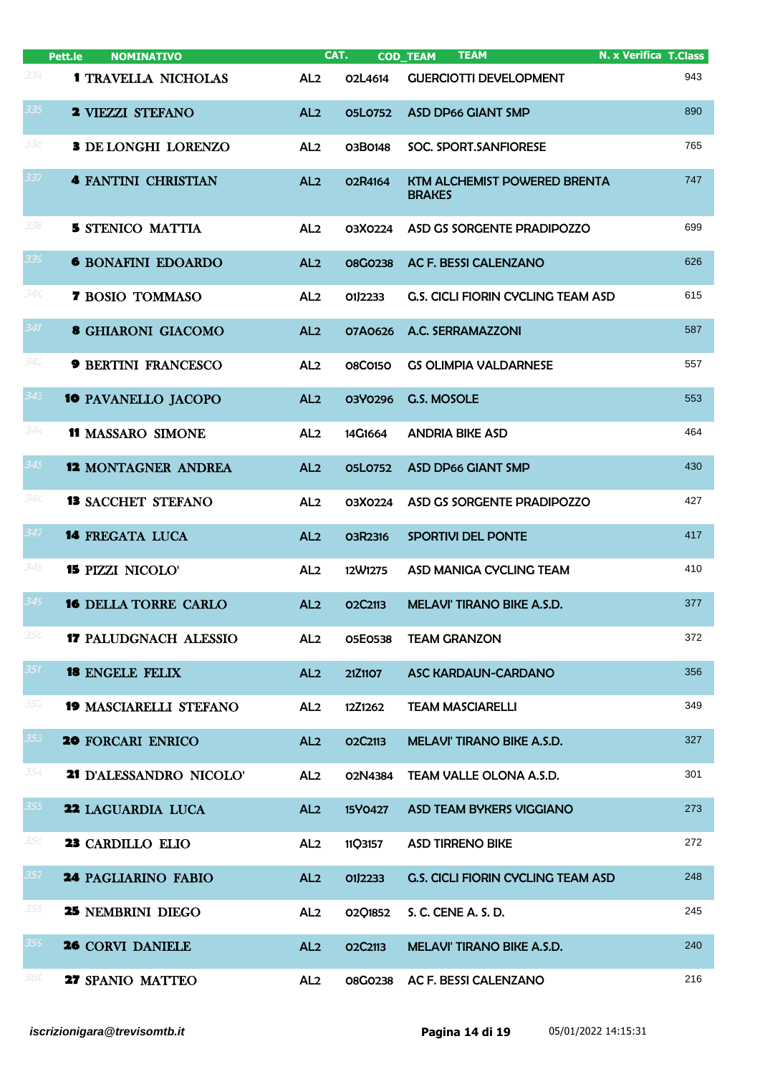|                 | Pett.le<br><b>NOMINATIVO</b>  | CAT.            |                                  | <b>TEAM</b><br><b>COD_TEAM</b>                | <b>N. x Verifica T. Class</b> |
|-----------------|-------------------------------|-----------------|----------------------------------|-----------------------------------------------|-------------------------------|
| 334             | <b>1 TRAVELLA NICHOLAS</b>    | AL <sub>2</sub> | O2L4614                          | <b>GUERCIOTTI DEVELOPMENT</b>                 | 943                           |
| 335             | <b>2 VIEZZI STEFANO</b>       | AL <sub>2</sub> | 05L0752                          | <b>ASD DP66 GIANT SMP</b>                     | 890                           |
| 33 c            | <b>3 DE LONGHI LORENZO</b>    | AL <sub>2</sub> | 03B0148                          | SOC. SPORT.SANFIORESE                         | 765                           |
| 337             | <b>4 FANTINI CHRISTIAN</b>    | AL <sub>2</sub> | O2R4164                          | KTM ALCHEMIST POWERED BRENTA<br><b>BRAKES</b> | 747                           |
| 338             | <b>5 STENICO MATTIA</b>       | AL <sub>2</sub> | 03X0224                          | ASD GS SORGENTE PRADIPOZZO                    | 699                           |
| 339             | <b>6 BONAFINI EDOARDO</b>     | AL <sub>2</sub> | <b>08G0238</b>                   | AC F. BESSI CALENZANO                         | 626                           |
| 340             | <b>7 BOSIO TOMMASO</b>        | AL <sub>2</sub> | 01J2233                          | <b>G.S. CICLI FIORIN CYCLING TEAM ASD</b>     | 615                           |
| 341             | <b>8 GHIARONI GIACOMO</b>     | AL <sub>2</sub> | 07A0626                          | A.C. SERRAMAZZONI                             | 587                           |
| 342             | <b>9 BERTINI FRANCESCO</b>    | AL <sub>2</sub> | <b>08C0150</b>                   | <b>GS OLIMPIA VALDARNESE</b>                  | 557                           |
| 34 <sup>3</sup> | <b>10 PAVANELLO JACOPO</b>    | AL <sub>2</sub> | 03Y0296                          | G.S. MOSOLE                                   | 553                           |
| 344             | <b>11 MASSARO SIMONE</b>      | AL <sub>2</sub> | 14G1664                          | <b>ANDRIA BIKE ASD</b>                        | 464                           |
| 345             | <b>12 MONTAGNER ANDREA</b>    | AL <sub>2</sub> | 05L0752                          | <b>ASD DP66 GIANT SMP</b>                     | 430                           |
| 34с             | <b>13 SACCHET STEFANO</b>     | AL <sub>2</sub> | 03X0224                          | ASD GS SORGENTE PRADIPOZZO                    | 427                           |
| 347             | <b>14 FREGATA LUCA</b>        | AL <sub>2</sub> | 03R2316                          | <b>SPORTIVI DEL PONTE</b>                     | 417                           |
| 348             | <b>15 PIZZI NICOLO'</b>       | AL <sub>2</sub> | 12W1275                          | ASD MANIGA CYCLING TEAM                       | 410                           |
| 345             | <b>16 DELLA TORRE CARLO</b>   | AL <sub>2</sub> | O <sub>2</sub> C <sub>2113</sub> | <b>MELAVI' TIRANO BIKE A.S.D.</b>             | 377                           |
| 35C             | <b>17 PALUDGNACH ALESSIO</b>  | AL <sub>2</sub> | 05E0538                          | <b>TEAM GRANZON</b>                           | 372                           |
| 351             | <b>18 ENGELE FELIX</b>        | AL <sub>2</sub> | 21Z1107                          | <b>ASC KARDAUN-CARDANO</b>                    | 356                           |
| 352             | <b>19 MASCIARELLI STEFANO</b> | AL <sub>2</sub> | 12Z1262                          | <b>TEAM MASCIARELLI</b>                       | 349                           |
| 353             | <b>20 FORCARI ENRICO</b>      | AL <sub>2</sub> | O2C2113                          | MELAVI' TIRANO BIKE A.S.D.                    | 327                           |
| 354             | 21 D'ALESSANDRO NICOLO'       | AL <sub>2</sub> | 02N4384                          | TEAM VALLE OLONA A.S.D.                       | 301                           |
| 355             | 22 LAGUARDIA LUCA             | AL <sub>2</sub> | 15Y0427                          | <b>ASD TEAM BYKERS VIGGIANO</b>               | 273                           |
| 35 c            | 23 CARDILLO ELIO              | AL <sub>2</sub> | 11Q3157                          | <b>ASD TIRRENO BIKE</b>                       | 272                           |
| 357             | <b>24 PAGLIARINO FABIO</b>    | AL <sub>2</sub> | 01/2233                          | G.S. CICLI FIORIN CYCLING TEAM ASD            | 248                           |
| 358             | 25 NEMBRINI DIEGO             | AL <sub>2</sub> | 02Q1852                          | S. C. CENE A. S. D.                           | 245                           |
| 359             | 26 CORVI DANIELE              | AL <sub>2</sub> | O2C2113                          | MELAVI' TIRANO BIKE A.S.D.                    | 240                           |
| 36 C            | 27 SPANIO MATTEO              | AL <sub>2</sub> | <b>08G0238</b>                   | AC F. BESSI CALENZANO                         | 216                           |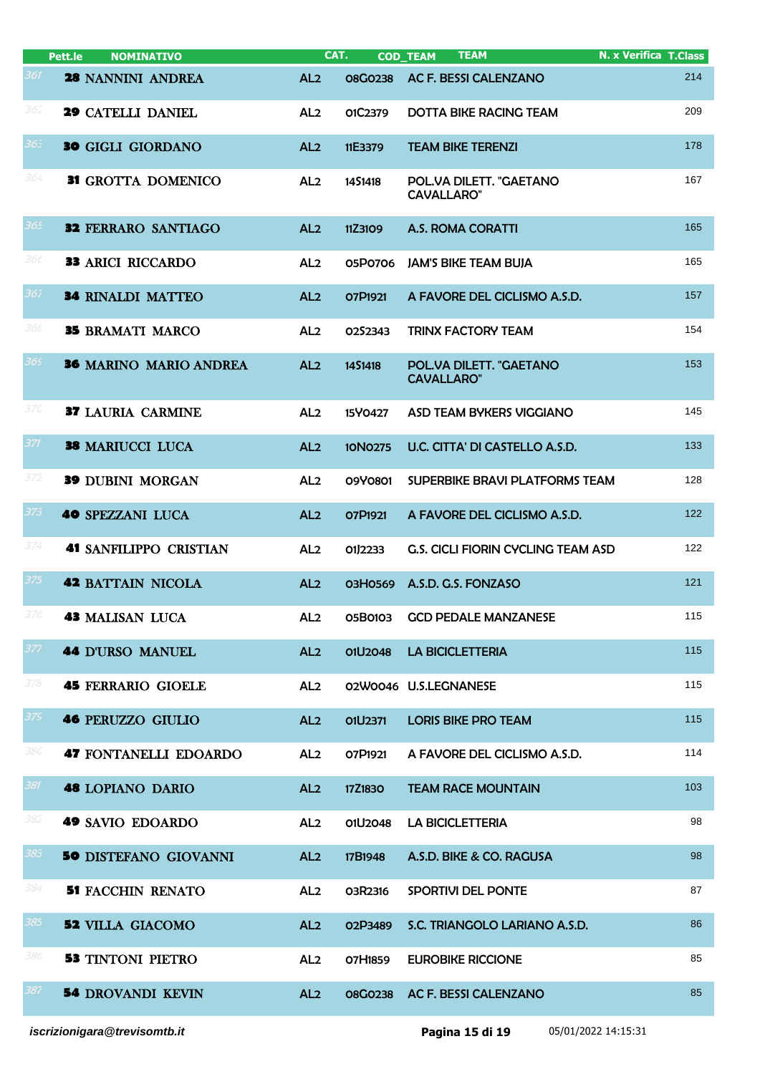|     | Pett.le<br><b>NOMINATIVO</b>  | CAT.            |                | <b>TEAM</b><br><b>COD_TEAM</b>               | <b>N. x Verifica T.Class</b> |
|-----|-------------------------------|-----------------|----------------|----------------------------------------------|------------------------------|
| 361 | <b>28 NANNINI ANDREA</b>      | AL <sub>2</sub> | <b>08G0238</b> | <b>AC F. BESSI CALENZANO</b>                 | 214                          |
| 362 | <b>29 CATELLI DANIEL</b>      | AL <sub>2</sub> | 01C2379        | <b>DOTTA BIKE RACING TEAM</b>                | 209                          |
| 365 | <b>30 GIGLI GIORDANO</b>      | AL <sub>2</sub> | 11E3379        | <b>TEAM BIKE TERENZI</b>                     | 178                          |
| 364 | 31 GROTTA DOMENICO            | AL <sub>2</sub> | 1451418        | POL.VA DILETT. "GAETANO<br><b>CAVALLARO"</b> | 167                          |
| 365 | <b>32 FERRARO SANTIAGO</b>    | AL <sub>2</sub> | 11Z3109        | <b>A.S. ROMA CORATTI</b>                     | 165                          |
| 36c | <b>33 ARICI RICCARDO</b>      | AL <sub>2</sub> | 05P0706        | <b>JAM'S BIKE TEAM BUJA</b>                  | 165                          |
| 367 | <b>34 RINALDI MATTEO</b>      | AL <sub>2</sub> | O7P1921        | A FAVORE DEL CICLISMO A.S.D.                 | 157                          |
| 368 | <b>35 BRAMATI MARCO</b>       | AL <sub>2</sub> | O2S2343        | <b>TRINX FACTORY TEAM</b>                    | 154                          |
| 369 | <b>36 MARINO MARIO ANDREA</b> | AL <sub>2</sub> | 1451418        | POL.VA DILETT. "GAETANO<br><b>CAVALLARO"</b> | 153                          |
| 37C | <b>37 LAURIA CARMINE</b>      | AL <sub>2</sub> | 15Y0427        | ASD TEAM BYKERS VIGGIANO                     | 145                          |
| 371 | <b>38 MARIUCCI LUCA</b>       | AL <sub>2</sub> | <b>10N0275</b> | U.C. CITTA' DI CASTELLO A.S.D.               | 133                          |
| 372 | <b>39 DUBINI MORGAN</b>       | AL <sub>2</sub> | 09Y0801        | SUPERBIKE BRAVI PLATFORMS TEAM               | 128                          |
| 373 | <b>40 SPEZZANI LUCA</b>       | AL <sub>2</sub> | O7P1921        | A FAVORE DEL CICLISMO A.S.D.                 | 122                          |
| 374 | <b>41 SANFILIPPO CRISTIAN</b> | AL <sub>2</sub> | 01J2233        | <b>G.S. CICLI FIORIN CYCLING TEAM ASD</b>    | 122                          |
| 375 | <b>42 BATTAIN NICOLA</b>      | AL <sub>2</sub> | <b>03H0569</b> | A.S.D. G.S. FONZASO                          | 121                          |
| 376 | <b>43 MALISAN LUCA</b>        | AL <sub>2</sub> | 05B0103        | <b>GCD PEDALE MANZANESE</b>                  | 115                          |
| 377 | <b>44 D'URSO MANUEL</b>       | AL <sub>2</sub> | 01U2048        | <b>LA BICICLETTERIA</b>                      | 115                          |
| 378 | <b>45 FERRARIO GIOELE</b>     | AL <sub>2</sub> |                | 02W0046 U.S.LEGNANESE                        | 115                          |
| 379 | <b>46 PERUZZO GIULIO</b>      | AL <sub>2</sub> | O1U2371        | <b>LORIS BIKE PRO TEAM</b>                   | 115                          |
| 38C | <b>47 FONTANELLI EDOARDO</b>  | AL <sub>2</sub> | O7P1921        | A FAVORE DEL CICLISMO A.S.D.                 | 114                          |
| 381 | <b>48 LOPIANO DARIO</b>       | AL <sub>2</sub> | 17Z1830        | <b>TEAM RACE MOUNTAIN</b>                    | 103                          |
| 382 | <b>49 SAVIO EDOARDO</b>       | AL <sub>2</sub> | 01U2048        | <b>LA BICICLETTERIA</b>                      | 98                           |
| 385 | <b>50 DISTEFANO GIOVANNI</b>  | AL <sub>2</sub> | 17B1948        | A.S.D. BIKE & CO. RAGUSA                     | 98                           |
| 384 | <b>51 FACCHIN RENATO</b>      | AL <sub>2</sub> | 03R2316        | SPORTIVI DEL PONTE                           | 87                           |
| 385 | <b>52 VILLA GIACOMO</b>       | AL <sub>2</sub> | 02P3489        | S.C. TRIANGOLO LARIANO A.S.D.                | 86                           |
| 386 | <b>53 TINTONI PIETRO</b>      | AL <sub>2</sub> | 07H1859        | <b>EUROBIKE RICCIONE</b>                     | 85                           |
| 387 | <b>54 DROVANDI KEVIN</b>      | AL <sub>2</sub> | <b>08G0238</b> | AC F. BESSI CALENZANO                        | 85                           |
|     |                               |                 |                |                                              |                              |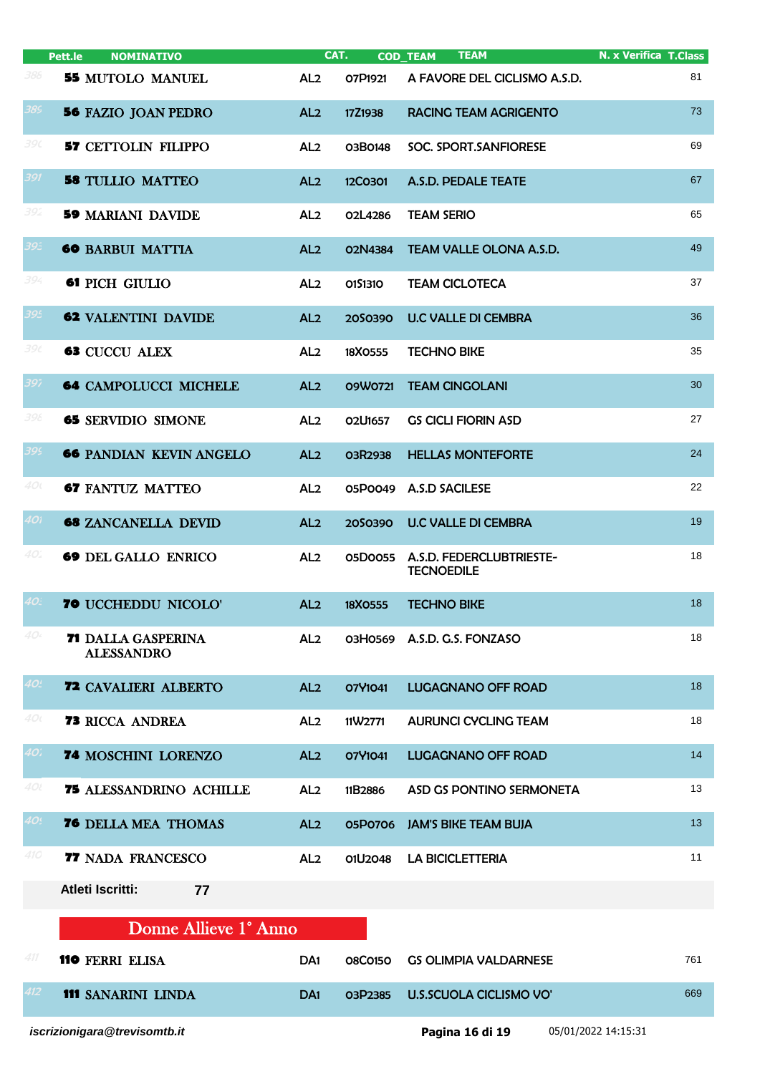|     | <b>NOMINATIVO</b><br>Pett.le                   |                 | CAT.           | <b>TEAM</b><br><b>COD_TEAM</b>                | N. x Verifica T.Class |
|-----|------------------------------------------------|-----------------|----------------|-----------------------------------------------|-----------------------|
| 388 | <b>55 MUTOLO MANUEL</b>                        | AL <sub>2</sub> | O7P1921        | A FAVORE DEL CICLISMO A.S.D.                  | 81                    |
| 389 | <b>56 FAZIO JOAN PEDRO</b>                     | AL <sub>2</sub> | 17Z1938        | <b>RACING TEAM AGRIGENTO</b>                  | 73                    |
| 390 | <b>57 CETTOLIN FILIPPO</b>                     | AL <sub>2</sub> | 03B0148        | SOC. SPORT.SANFIORESE                         | 69                    |
| 391 | <b>58 TULLIO MATTEO</b>                        | AL <sub>2</sub> | 12C0301        | A.S.D. PEDALE TEATE                           | 67                    |
| 392 | <b>59 MARIANI DAVIDE</b>                       | AL <sub>2</sub> | 02L4286        | <b>TEAM SERIO</b>                             | 65                    |
| 39E | <b>60 BARBUI MATTIA</b>                        | AL <sub>2</sub> | 02N4384        | TEAM VALLE OLONA A.S.D.                       | 49                    |
| 394 | 61 PICH GIULIO                                 | AL <sub>2</sub> | 0151310        | <b>TEAM CICLOTECA</b>                         | 37                    |
| 395 | <b>62 VALENTINI DAVIDE</b>                     | AL <sub>2</sub> | 2050390        | <b>U.C VALLE DI CEMBRA</b>                    | 36                    |
| 39t | <b>63 CUCCU ALEX</b>                           | AL <sub>2</sub> | 18X0555        | <b>TECHNO BIKE</b>                            | 35                    |
| 397 | <b>64 CAMPOLUCCI MICHELE</b>                   | AL <sub>2</sub> | 09W0721        | <b>TEAM CINGOLANI</b>                         | 30                    |
| 398 | <b>65 SERVIDIO SIMONE</b>                      | AL <sub>2</sub> | 02U1657        | <b>GS CICLI FIORIN ASD</b>                    | 27                    |
| 399 | <b>66 PANDIAN KEVIN ANGELO</b>                 | AL <sub>2</sub> | 03R2938        | <b>HELLAS MONTEFORTE</b>                      | 24                    |
| 40( | <b>67 FANTUZ MATTEO</b>                        | AL <sub>2</sub> | 05P0049        | A.S.D SACILESE                                | 22                    |
| 40i | <b>68 ZANCANELLA DEVID</b>                     | AL <sub>2</sub> | 2050390        | <b>U.C VALLE DI CEMBRA</b>                    | 19                    |
| 40. | <b>69 DEL GALLO ENRICO</b>                     | AL <sub>2</sub> | 05D0055        | A.S.D. FEDERCLUBTRIESTE-<br><b>TECNOEDILE</b> | 18                    |
| 40. | <b>70 UCCHEDDU NICOLO'</b>                     | AL <sub>2</sub> | 18X0555        | <b>TECHNO BIKE</b>                            | 18                    |
| 40. | <b>71 DALLA GASPERINA</b><br><b>ALESSANDRO</b> | AL <sub>2</sub> |                | 03H0569 A.S.D. G.S. FONZASO                   | 18                    |
| 40. | <b>72 CAVALIERI ALBERTO</b>                    | AL <sub>2</sub> | 07Y1041        | <b>LUGAGNANO OFF ROAD</b>                     | 18                    |
| 40t | <b>73 RICCA ANDREA</b>                         | AL <sub>2</sub> | 11W2771        | <b>AURUNCI CYCLING TEAM</b>                   | 18                    |
| 40, | 74 MOSCHINI LORENZO                            | AL <sub>2</sub> | 07Y1041        | <b>LUGAGNANO OFF ROAD</b>                     | 14                    |
| 40l | 75 ALESSANDRINO ACHILLE                        | AL <sub>2</sub> | 11B2886        | ASD GS PONTINO SERMONETA                      | 13                    |
| 40! | <b>76 DELLA MEA THOMAS</b>                     | AL <sub>2</sub> | 05P0706        | <b>JAM'S BIKE TEAM BUJA</b>                   | 13                    |
| 410 | 77 NADA FRANCESCO                              | AL <sub>2</sub> | 01U2048        | <b>LA BICICLETTERIA</b>                       | 11                    |
|     | <b>Atleti Iscritti:</b><br>77                  |                 |                |                                               |                       |
|     | Donne Allieve 1° Anno                          |                 |                |                                               |                       |
| 411 | <b>110 FERRI ELISA</b>                         | DA <sub>1</sub> | <b>08C0150</b> | <b>GS OLIMPIA VALDARNESE</b>                  | 761                   |
| 412 | <b>111 SANARINI LINDA</b>                      | DA <sub>1</sub> | O3P2385        | <b>U.S.SCUOLA CICLISMO VO'</b>                | 669                   |
|     | iscrizionigara@trevisomtb.it                   |                 |                | Pagina 16 di 19                               | 05/01/2022 14:15:31   |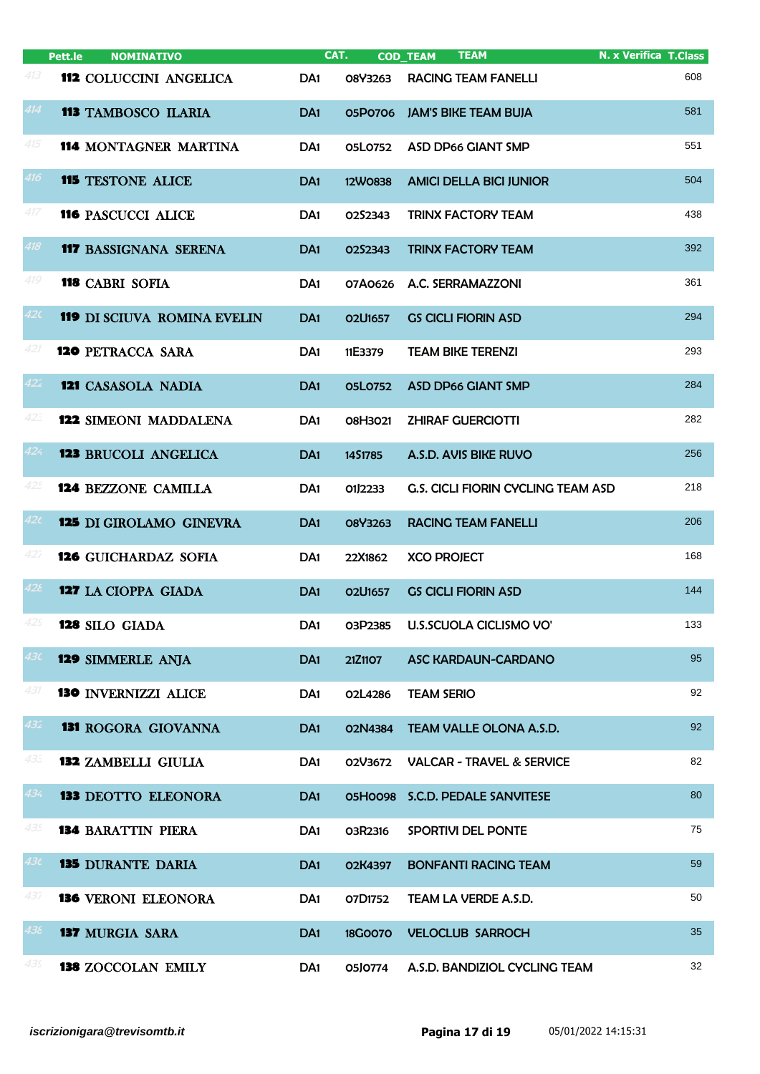|                 | Pett.le<br><b>NOMINATIVO</b>       |                 | CAT.                             | <b>TEAM</b><br><b>COD_TEAM</b>            | <b>N. x Verifica T.Class</b> |
|-----------------|------------------------------------|-----------------|----------------------------------|-------------------------------------------|------------------------------|
| 413             | 112 COLUCCINI ANGELICA             | DA <sub>1</sub> | 08Y3263                          | <b>RACING TEAM FANELLI</b>                | 608                          |
| 414             | <b>113 TAMBOSCO ILARIA</b>         | DA <sub>1</sub> | 05P0706                          | <b>JAM'S BIKE TEAM BUJA</b>               | 581                          |
| 415             | <b>114 MONTAGNER MARTINA</b>       | DA <sub>1</sub> | 05L0752                          | <b>ASD DP66 GIANT SMP</b>                 | 551                          |
| 416             | <b>115 TESTONE ALICE</b>           | DA <sub>1</sub> | 12W0838                          | <b>AMICI DELLA BICI JUNIOR</b>            | 504                          |
| 417             | <b>116 PASCUCCI ALICE</b>          | DA <sub>1</sub> | 0252343                          | <b>TRINX FACTORY TEAM</b>                 | 438                          |
| 418             | <b>117 BASSIGNANA SERENA</b>       | DA <sub>1</sub> | 0252343                          | <b>TRINX FACTORY TEAM</b>                 | 392                          |
| 419             | <b>118 CABRI SOFIA</b>             | DA <sub>1</sub> | 07A0626                          | A.C. SERRAMAZZONI                         | 361                          |
| 420             | <b>119 DI SCIUVA ROMINA EVELIN</b> | DA <sub>1</sub> | <b>02U1657</b>                   | <b>GS CICLI FIORIN ASD</b>                | 294                          |
| 421             | <b>120 PETRACCA SARA</b>           | DA <sub>1</sub> | 11E3379                          | <b>TEAM BIKE TERENZI</b>                  | 293                          |
| 422             | <b>121 CASASOLA NADIA</b>          | DA <sub>1</sub> | <b>05L0752</b>                   | <b>ASD DP66 GIANT SMP</b>                 | 284                          |
| 423             | <b>122 SIMEONI MADDALENA</b>       | DA <sub>1</sub> | 08H3021                          | <b>ZHIRAF GUERCIOTTI</b>                  | 282                          |
| 424             | <b>123 BRUCOLI ANGELICA</b>        | DA <sub>1</sub> | 14S1785                          | A.S.D. AVIS BIKE RUVO                     | 256                          |
| 425             | <b>124 BEZZONE CAMILLA</b>         | DA <sub>1</sub> | 01J2233                          | <b>G.S. CICLI FIORIN CYCLING TEAM ASD</b> | 218                          |
| 42 <sub>t</sub> | <b>125 DI GIROLAMO GINEVRA</b>     | DA <sub>1</sub> | 08Y3263                          | <b>RACING TEAM FANELLI</b>                | 206                          |
| 427             | <b>126 GUICHARDAZ SOFIA</b>        | DA <sub>1</sub> | 22X1862                          | <b>XCO PROJECT</b>                        | 168                          |
| 428             | <b>127</b> LA CIOPPA GIADA         | DA <sub>1</sub> | O <sub>2</sub> U <sub>1657</sub> | <b>GS CICLI FIORIN ASD</b>                | 144                          |
|                 | 128 SILO GIADA                     | DA <sub>1</sub> | 03P2385                          | U.S.SCUOLA CICLISMO VO'                   | 133                          |
| 43C             | <b>129 SIMMERLE ANJA</b>           | DA <sub>1</sub> | 21Z1107                          | <b>ASC KARDAUN-CARDANO</b>                | 95                           |
| 431             | <b>130 INVERNIZZI ALICE</b>        | DA <sub>1</sub> | 02L4286                          | <b>TEAM SERIO</b>                         | 92                           |
| 432             | <b>131 ROGORA GIOVANNA</b>         | DA <sub>1</sub> | 02N4384                          | TEAM VALLE OLONA A.S.D.                   | 92                           |
| 433             | <b>132 ZAMBELLI GIULIA</b>         | DA <sub>1</sub> | 02V3672                          | <b>VALCAR - TRAVEL &amp; SERVICE</b>      | 82                           |
| 434             | <b>133 DEOTTO ELEONORA</b>         | DA <sub>1</sub> | 05H0098                          | S.C.D. PEDALE SANVITESE                   | 80                           |
| 435             | <b>134 BARATTIN PIERA</b>          | DA <sub>1</sub> | 03R2316                          | SPORTIVI DEL PONTE                        | 75                           |
| 43t             | <b>135 DURANTE DARIA</b>           | DA <sub>1</sub> | O2K4397                          | <b>BONFANTI RACING TEAM</b>               | 59                           |
| 437             | <b>136 VERONI ELEONORA</b>         | DA <sub>1</sub> | 07D1752                          | TEAM LA VERDE A.S.D.                      | 50                           |
| 438             | <b>137 MURGIA SARA</b>             | DA <sub>1</sub> | <b>18G0070</b>                   | <b>VELOCLUB SARROCH</b>                   | 35                           |
| 439             | <b>138 ZOCCOLAN EMILY</b>          | DA <sub>1</sub> | 05J0774                          | A.S.D. BANDIZIOL CYCLING TEAM             | 32                           |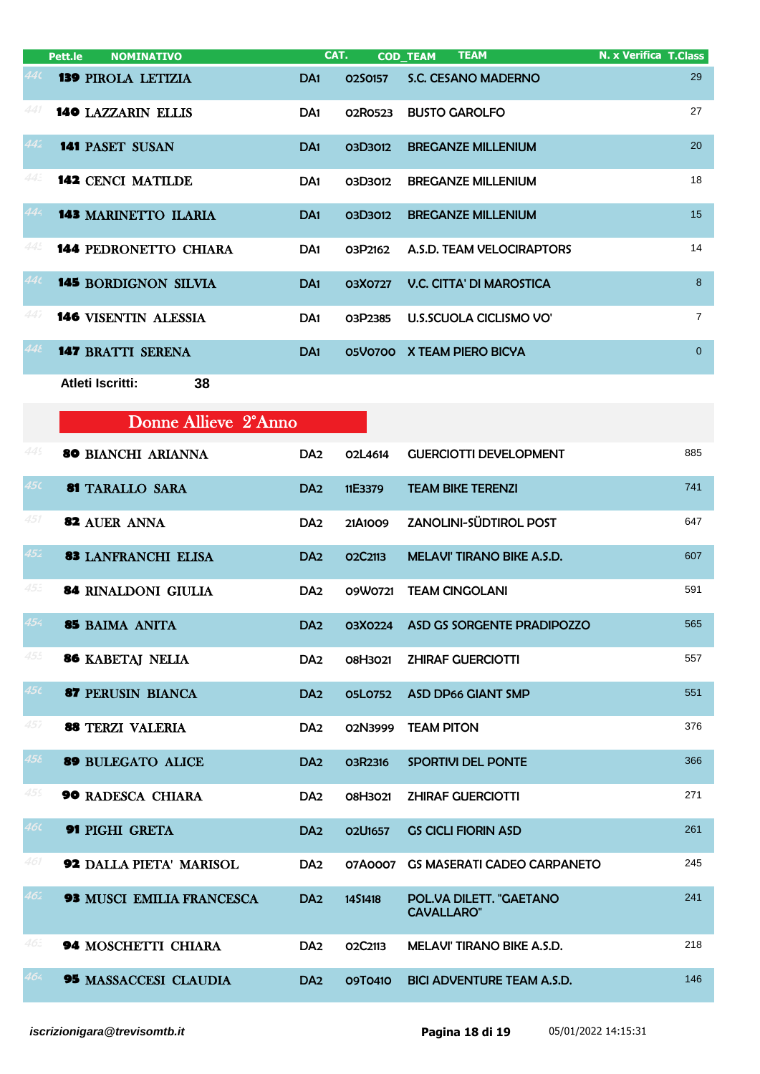|     | Pett.le<br><b>NOMINATIVO</b>     | CAT.            |                | <b>TEAM</b><br><b>COD_TEAM</b>               | <b>N. x Verifica T.Class</b> |
|-----|----------------------------------|-----------------|----------------|----------------------------------------------|------------------------------|
| 14( | <b>139 PIROLA LETIZIA</b>        | DA <sub>1</sub> | 0250157        | S.C. CESANO MADERNO                          | 29                           |
| 441 | <b>140 LAZZARIN ELLIS</b>        | DA <sub>1</sub> | 02R0523        | <b>BUSTO GAROLFO</b>                         | 27                           |
| 442 | <b>141 PASET SUSAN</b>           | DA <sub>1</sub> | 03D3012        | <b>BREGANZE MILLENIUM</b>                    | 20                           |
| 44: | <b>142 CENCI MATILDE</b>         | DA <sub>1</sub> | 03D3012        | <b>BREGANZE MILLENIUM</b>                    | 18                           |
| 444 | <b>143 MARINETTO ILARIA</b>      | DA <sub>1</sub> | 03D3012        | <b>BREGANZE MILLENIUM</b>                    | 15                           |
| 445 | <b>144 PEDRONETTO CHIARA</b>     | DA <sub>1</sub> | O3P2162        | A.S.D. TEAM VELOCIRAPTORS                    | 14                           |
| 44t | <b>145 BORDIGNON SILVIA</b>      | DA <sub>1</sub> | 03X0727        | <b>V.C. CITTA' DI MAROSTICA</b>              | 8                            |
| 447 | <b>146 VISENTIN ALESSIA</b>      | DA <sub>1</sub> | 03P2385        | U.S.SCUOLA CICLISMO VO'                      | $\overline{7}$               |
| 448 | <b>147 BRATTI SERENA</b>         | DA <sub>1</sub> |                | 05V0700 X TEAM PIERO BICYA                   | $\overline{0}$               |
|     | Atleti Iscritti:<br>38           |                 |                |                                              |                              |
|     | Donne Allieve 2°Anno             |                 |                |                                              |                              |
| 445 | <b>80 BIANCHI ARIANNA</b>        | DA <sub>2</sub> | O2L4614        | <b>GUERCIOTTI DEVELOPMENT</b>                | 885                          |
| 45C | <b>81 TARALLO SARA</b>           | DA <sub>2</sub> | 11E3379        | <b>TEAM BIKE TERENZI</b>                     | 741                          |
| 451 | <b>82 AUER ANNA</b>              | DA <sub>2</sub> | 21A1009        | ZANOLINI-SÜDTIROL POST                       | 647                          |
| 452 | <b>83 LANFRANCHI ELISA</b>       | DA <sub>2</sub> | O2C2113        | MELAVI' TIRANO BIKE A.S.D.                   | 607                          |
| 45: | <b>84 RINALDONI GIULIA</b>       | DA <sub>2</sub> | 09W0721        | <b>TEAM CINGOLANI</b>                        | 591                          |
| 454 | 85 BAIMA ANITA                   | DA <sub>2</sub> | 03X0224        | ASD GS SORGENTE PRADIPOZZO                   | 565                          |
| 455 | <b>86 KABETAJ NELIA</b>          | DA <sub>2</sub> | 08H3021        | <b>ZHIRAF GUERCIOTTI</b>                     | 557                          |
| 456 | 87 PERUSIN BIANCA                | DA <sub>2</sub> | <b>05L0752</b> | <b>ASD DP66 GIANT SMP</b>                    | 551                          |
| 457 | <b>88 TERZI VALERIA</b>          | DA <sub>2</sub> | 02N3999        | <b>TEAM PITON</b>                            | 376                          |
| 456 | <b>89 BULEGATO ALICE</b>         | DA <sub>2</sub> | O3R2316        | SPORTIVI DEL PONTE                           | 366                          |
| 459 | <b>90 RADESCA CHIARA</b>         | DA <sub>2</sub> | 08H3021        | <b>ZHIRAF GUERCIOTTI</b>                     | 271                          |
| 46( | 91 PIGHI GRETA                   | DA <sub>2</sub> | <b>02U1657</b> | <b>GS CICLI FIORIN ASD</b>                   | 261                          |
| 461 | <b>92 DALLA PIETA' MARISOL</b>   | DA <sub>2</sub> | 07A0007        | <b>GS MASERATI CADEO CARPANETO</b>           | 245                          |
| 462 | <b>93 MUSCI EMILIA FRANCESCA</b> | DA <sub>2</sub> | 1451418        | POL.VA DILETT. "GAETANO<br><b>CAVALLARO"</b> | 241                          |
| 46. | <b>94 MOSCHETTI CHIARA</b>       | DA <sub>2</sub> | O2C2113        | MELAVI' TIRANO BIKE A.S.D.                   | 218                          |
| 464 | <b>95 MASSACCESI CLAUDIA</b>     | DA <sub>2</sub> | 09T0410        | <b>BICI ADVENTURE TEAM A.S.D.</b>            | 146                          |